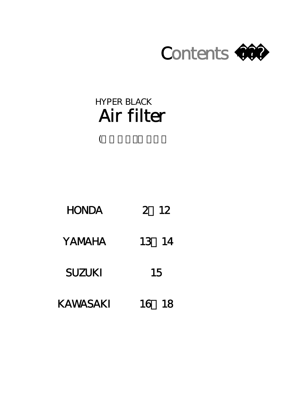# Contents >>>

# Air filter HYPER BLACK

| <b>HONDA</b> | 12 |
|--------------|----|
|              |    |

(

- YAMAHA 13 14
- SUZUKI 15
- KAWASAKI 16 18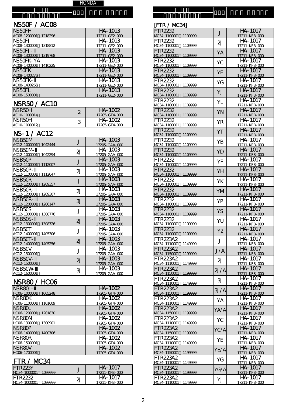# ー NS5OF / ACO8

フ レ 機 種 名

> ム ナ ン バ ー

| NS <sub>50</sub> FH     | HA-1013       |
|-------------------------|---------------|
| AC08-1200001<br>1218296 | 17211-GE2-000 |
| NS <sub>50FJ</sub>      | HA-1013       |
| AC08-1300001<br>1318812 | 17211-GE2-000 |
| INS5OFJ-                | HA-1013       |
| AC08-1300001<br>1319768 | 17211-GE2-000 |
| INS5OFK-YA              | HA-1013       |
| AC08-1400001<br>1410225 | 17211-GE2-000 |
| <b>NS5OFK</b>           | HA-1013       |
| AC08-1400276            | 17211-GE2-000 |
| INS5OFK-                | HA-1013       |
| AC08-1400266            | 17211-GE2-000 |
| <b>NS5OFL</b>           | HA-1013       |
| AC08-1500001            | 17211-GE2-000 |

#### NSR50 / AC1C

| <b>NSR5CH</b><br>$AC10-1000014$ |   | HA-1002<br>17205-GT4-000 |
|---------------------------------|---|--------------------------|
| INSR50H<br>1AC10-1000012        | J | HA-1002<br>17205-GT4-000 |

#### NS-1 / AC12

| J                | HA-1003<br>17205-GAA-000                                              |
|------------------|-----------------------------------------------------------------------|
| $\overline{2}$ J | HA-1003                                                               |
|                  | 17205-GAA-000                                                         |
| J                | HA-1003<br>17205-GAA-000                                              |
|                  |                                                                       |
| 2J               | HA-1003                                                               |
|                  | 17205-GAA-000                                                         |
|                  | HA-1003                                                               |
|                  | 17205-GAA-000                                                         |
|                  | HA-1003                                                               |
|                  | 17205-GAA-000                                                         |
|                  | HA-1003                                                               |
|                  | 17205-GAA-000                                                         |
|                  | HA-1003                                                               |
|                  | 17205-GAA-000                                                         |
|                  | HA-1003                                                               |
|                  | 17205-GAA-000                                                         |
|                  | HA-1003                                                               |
|                  | 17205-GAA-000                                                         |
|                  | HA-1003                                                               |
|                  | 17205-GAA-000                                                         |
|                  | HA-1003                                                               |
|                  | 17205-GAA-000                                                         |
|                  | HA-1003                                                               |
|                  | 17205-GAA-000                                                         |
|                  | <b>HA-1003</b>                                                        |
|                  | 17205-GAA-000                                                         |
|                  | J<br>2J<br>3<br>J<br>$\overline{2}$<br>$\cdot$<br>2J<br>J<br>2J<br>31 |

# NSR80 / HCO6

| NSR80J-                 | HA-1002       |
|-------------------------|---------------|
| HCO6-1000001<br>1005248 | 17205-GT4-000 |
| <b>NSR80K</b>           | HA-1002       |
| HCO6-1100001 1101609    | 17205-GT4-000 |
| NSR80L                  | HA-1002       |
| HCO6-1200001<br>1201830 | 17205-GT4-000 |
| <b>NSR80N</b>           | HA-1002       |
| HC06-1300001<br>1300901 | 17205-GT4-000 |
| <b>NSR8OP</b>           | HA-1002       |
| HCO6-1400001<br>1400706 | 17205-GT4-000 |
| <b>NSR8OR</b>           | HA-1002       |
| HCO6-1500001            | 17205-GT4-000 |
| NSR80V                  | HA-1002       |
| HCO6-1700001            | 17205-GT4-000 |

#### FTR / MC34

| 1 1 1 2 7 1 V N U U T     |                             |                               |
|---------------------------|-----------------------------|-------------------------------|
| FTR <sub>223</sub> Y      |                             | HA-1017                       |
| $NC34-1000001$<br>1099999 |                             | $17211 - KFR - \gamma$        |
| <b>IFTR2232</b>           | $\mathfrak{D}_{\mathsf{L}}$ | HA-1017                       |
| $NC34-1000001$<br>1099999 |                             | $17211 - KFR - \alpha \alpha$ |

| [FTR / MC34]                               |                |                                        |
|--------------------------------------------|----------------|----------------------------------------|
| FTR2232<br>MC34-1100001<br>1109999         | J              | HA-1017<br>17211-KFB-000               |
| FTR2232                                    | 2J             | HA-1017                                |
| MC34-1100001<br>1109999<br>FTR2232         | YA             | 17211-KFB-000<br>HA-1017               |
| MC34-1100001<br>1109999<br>FTR2232         | YC             | 17211-KFB-000<br>HA-1017               |
| MC34-1100001<br>1109999<br>FTR2232         | YE             | 17211-KFB-000<br>HA-1017               |
| MC34-1100001<br>1109999<br>FTR2232         |                | 17211-KFB-000<br>$HA - 1017$           |
| MC34-1100001<br>1109999                    | YG             | 17211-KFB-000<br>HA-1017               |
| FTR2232<br>MC34-1100001<br>1109999         | YJ             | 17211-KFB-000                          |
| FTR2232<br>MC34-1100001<br>1109999         | YL             | $H\overline{A-1017}$<br>17211-KFB-000  |
| <b>FTR2232</b><br>MC34-1100001<br>1109999  | YN             | HA-1017<br>17211-KFB-000               |
| FTR2232<br>MC34-1100001<br>1109999         | <b>YR</b>      | HA-1017<br>17211-KFB-000               |
| FTR2232<br>1109999                         | YT             | HA-1017                                |
| MC34-1100001<br>FTR2232                    | YΒ             | 17211-KFB-000<br>HA-1017               |
| MC34-1100001<br>1109999<br>FTR2232         | YD             | 17211-KFB-000<br>HA-1017               |
| MC34-1100001<br>1109999<br>FTR2232         | YF             | 17211-KFB-000<br>HA-1017               |
| MC34-1100001<br>1109999<br>FTR2232         |                | 17211-KFB-000<br>HA-1017               |
| MC34-1100001<br>1109999<br>FTR2232         | YH             | 17211-KFB-000<br>HA-1017               |
| MC34-1100001<br>1109999                    | YΚ             | 17211-KFB-000                          |
| FTR2232<br>MC34-1100001<br>1109999         | YM             | HA-1017<br>17211-KFB-000               |
| FTR2232<br>MC34-1100001<br>1109999         | YP             | $\overline{HA}$ -1017<br>17211-KFB-000 |
| FTR2232<br>MC34-1100001<br>1109999         | YS             | HA-1017<br>17211-KFB-000               |
| FTR2232<br>MC34-1100001<br>1109999         | YU             | HA-1017<br>17211-KFB-000               |
| FTR2232<br>MC34-1100001<br>1109999         | Y <sub>2</sub> | HA-1017<br>17211-KFB-000               |
| FTR223A2                                   | J              | HA-1017                                |
| MC34-1110001<br>1149999<br>FTR223A2        | J/A            | 17211-KFB-000<br>HA-1017               |
| MC34-1150001<br>1199999<br>FTR223A2        | 2J             | 17211-KFB-000<br>HA-1017               |
| MC34-1110001<br>1149999<br>FTR223A2        |                | 17211-KFB-000<br>HA-1017               |
| MC34-1150001<br>1199999<br>FTR223A2        | 2J/A           | 17211-KFB-000<br>HA-1017               |
| MC34-1110001<br>1149999                    | 3J             | 17211-KFB-000<br>HA-1017               |
| <b>FTR223A2</b><br>MC34-1150001<br>1199999 | 3J/A           | 17211-KFB-000                          |
| FTR223A2<br>MC34-1110001<br>1149999        | YA             | HA-1017<br>17211-KFB-000               |
| <b>FTR223A2</b><br>MC34-1150001<br>1199999 | YA/A           | HA-1017<br>17211-KFB-000               |
| FTR223A2<br>MC34-1110001<br>1149999        | YC             | HA-1017<br>17211-KFB-000               |
| FTR223A2<br>MC34-1150001<br>1199999        | YC/A           | HA-1017<br>17211-KFB-000               |
| FTR223A2                                   | YE             | HA-1017                                |
| MC34-1110001<br>1149999<br>FTR223A2        | YE/A           | 17211-KFB-000<br>HA-1017               |
| MC34-1150001<br>1199999<br><b>FTR223A2</b> | YG             | 17211-KFB-000<br>HA-1017               |
| MC34-1110001<br>1149999<br>FTR223A2        | YG/A           | 17211-KFB-000<br>HA-1017               |
| MC34-1150001<br>1199999<br>FTR223A2        |                | 17211-KFB-000<br>HA-1017               |
| MC34-1110001<br>1149999                    | YJ             | 17211-KFB-000                          |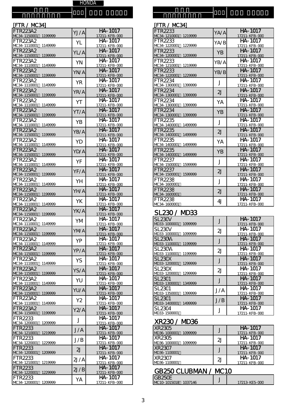#### [FTR / MC34]

機 種 名

| <b>FTR223A2</b>                            | YJ/A       | HA-1017                         |
|--------------------------------------------|------------|---------------------------------|
| MC34-1150001<br>1199999                    |            | 17211-KFB-000                   |
| FTR223A2                                   | YL         | HA-1017                         |
| MC34-1110001<br>1149999<br>FTR223A2        |            | 17211-KFB-000<br>HA-1017        |
| MC34-1150001<br>1199999                    | YL/A       | 17211-KFB-000                   |
| FTR223A2                                   | YN         | HA-1017                         |
| MC34-1110001<br>1149999                    |            | 17211-KFB-000                   |
| <b>FTR223A2</b><br>MC34-1150001<br>1199999 | YN/A       | HA-1017<br>17211-KFB-000        |
| <b>FTR223A2</b>                            |            | HA-1017                         |
| 1149999<br>MC34-1110001                    | <b>YR</b>  | 17211-KFB-000                   |
| FTR223A2                                   | YR/A       | HA-1017                         |
| MC34-1150001<br>1199999                    |            | 17211-KFB-000<br>HA-1017        |
| FTR223A2<br>MC34-1110001<br>1149999        | YT         | 17211-KFB-000                   |
| <b>FTR223A2</b>                            | YT/A       | HA-1017                         |
| MC34-1150001<br>1199999                    |            | 17211-KFB-000                   |
| FTR223A2<br>MC34-1110001                   | ΥB         | HA-1017                         |
| 1149999<br><b>FTR223A2</b>                 |            | 17211-KFB-000<br>HA-1017        |
| MC34-1150001<br>1199999                    | YB/A       | 17211-KFB-000                   |
| FTR223A2                                   | YD         | HA-1017                         |
| MC34-1110001<br>1149999<br><b>FTR223A2</b> |            | 17211-KFB-000<br>HA-1017        |
| MC34-1150001<br>1199999                    | YD/A       | 17211-KFB-000                   |
| FTR223A2                                   | YF         | HA-1017                         |
| MC34-1110001<br>1149999                    |            | 17211-KFB-000                   |
| <b>FTR223A2</b><br>MC34-1150001<br>1199999 | YF/A       | HA-1017<br>17211-KFB-000        |
| FTR223A2                                   |            | HA-1017                         |
| MC34-1110001<br>1149999                    | YH         | 17211-KFB-000                   |
| <b>FTR223A2</b>                            | YH/A       | HA-1017                         |
| MC34-1150001<br>1199999<br>FTR223A2        |            | 17211-KFB-000<br>HA-1017        |
| MC34-1110001<br>1149999                    | YK         | 17211-KFB-000                   |
| <b>FTR223A2</b>                            | YK/A       | HA-1017                         |
| MC34-1150001<br>1199999                    |            | 17211-KFB-000                   |
| FTR223A2<br>MC34-1110001<br>1149999        | YM         | HA-1017<br>17211-KFB-000        |
| <b>FTR223A2</b>                            | <b>YMA</b> | HA-1017                         |
| MC34-1150001<br>1199999                    |            | 17211-KFB-000                   |
| FTR223A2                                   | ΥP         | HA-1017                         |
| MC34-1110001<br>1149999<br>FTR223A2        |            | <u>17211-KFB-000</u><br>HA-1017 |
| MC34-1150001<br>1199999                    | YP/A       | 17211-KFB-000                   |
| FTR223A2                                   | YS         | HA-1017                         |
| 1149999<br>MC34-1110001<br><b>FTR223A2</b> |            | 17211-KFB-000<br>HA-1017        |
| MC34-1150001<br>1199999                    | YS/A       | 17211-KFB-000                   |
| FTR223A2                                   | YU         | $HA - 1017$                     |
| MC34-1110001<br>1149999                    |            | 17211-KFB-000                   |
| <b>FTR223A2</b><br>MC34-1150001<br>1199999 | YU/A       | HA-1017<br>17211-KFB-000        |
| FTR223A2                                   |            | HA-1017                         |
| MC34-1110001<br>1149999                    | Υ2         | 17211-KFB-000                   |
| <b>FTR223A2</b>                            | Y2/A       | HA-1017                         |
| MC34-1150001<br>1199999<br>FTR2233         |            | 17211-KFB-000<br>HA-1017        |
| MC34-1200001<br>1209999                    | J          | 17211-KFB-000                   |
| FTR2233                                    | J/A        | HA-1017                         |
| MC34-1210001<br>1219999                    |            | 17211-KFB-000<br>HA-1017        |
| FTR2233<br>MC34-1220001<br>1229999         | J/B        | 17211-KFB-000                   |
| FTR2233                                    | 2J         | HA-1017                         |
| MC34-1200001<br>1209999                    |            | 17211-KFB-000                   |
| FTR2233<br>MC34-1210001<br>1219999         | 2J/A       | HA-1017<br>17211-KFB-000        |
| FTR2233                                    |            | HA-1017                         |
| MC34-1220001<br>1229999                    | 2J/B       | <u>17211-KFB-000</u>            |
| FTR2233                                    | YA         | HA-1017                         |
| MC34-1200001<br>1209999                    |            | 17211-KFB-000                   |

| [FTR / MC34]            |                |               |
|-------------------------|----------------|---------------|
| FTR2233                 | YA/A           | HA-1017       |
| MC34-1210001<br>1219999 |                | 17211-KFB-000 |
| FTR2233                 | YA/B           | HA-1017       |
| MC34-1220001 1229999    |                | 17211-KFB-000 |
| FTR2233                 | YB             | HA-1017       |
| MC34-1200001<br>1209999 |                | 17211-KFB-000 |
| FTR2233                 | YB/A           | HA-1017       |
| MC34-1210001<br>1219999 |                | 17211-KFB-000 |
| FTR2233                 | YB/B           | HA-1017       |
| MC34-1220001<br>1229999 |                | 17211-KFB-000 |
| FTR2234                 | J              | HA-1017       |
| MC34-1300001<br>1399999 |                | 17211-KFB-000 |
| FTR2234                 | 2 <sub>l</sub> | HA-1017       |
| MC34-1300001<br>1399999 |                | 17211-KFB-000 |
| FTR2234                 | YA             | HA-1017       |
| MC34-1300001<br>1399999 |                | 17211-KFB-000 |
| FTR2234                 | YB             | $HA - 1017$   |
| MC34-1300001<br>1399999 |                | 17211-KFB-000 |
| FTR2235                 | J              | $HA - 1017$   |
| MC34-1400001<br>1499999 |                | 17211-KFB-000 |
| FTR2235                 | 2 <sub>l</sub> | HA-1017       |
| MC34-1400001<br>1499999 |                | 17211-KFB-000 |
| FTR2235                 | YΑ             | HA-1017       |
| MC34-1400001<br>1499999 |                | 17211-KFB-000 |
| FTR2235                 | YB             | $HA - 1017$   |
| MC34-1400001<br>1499999 |                | 17211-KFB-000 |
| FTR2237                 | $\cdot$        | HA-1017       |
| MC34-1500001<br>1599999 |                | 17211-KFB-000 |
| FTR2237                 | 2J             | $HA - 1017$   |
| MC34-1500001<br>1599999 |                | 17211-KFB-000 |
| FTR2238                 | J              | HA-1017       |
| MC34-1600001            |                | 17211-KFB-000 |
| <b>FTR2238</b>          | 2 <sub>l</sub> | HA-1017       |
| MC34-1600001            |                | 17211-KFB-000 |
| FTR2238                 | 41             | HA-1017       |
| MC34-1600001            |                | 17211-KFB-000 |

### SL<sub>230</sub> / MD<sub>33</sub>

in di 種 名

| SL <sub>23</sub> CV<br>MD33-1000001<br>1099999 |     | HA-1017<br>17211-KFB-000     |
|------------------------------------------------|-----|------------------------------|
| SL <sub>23</sub> CV<br>MD33-1000001<br>1099999 | 21  | HA-1017<br>17211-KFB-000     |
| SL <sub>23</sub> OM<br>MD33-1100001<br>1199999 |     | HA-1017<br>17211-KFB-000     |
| SI 23CM<br>MD33-1100001<br>1199999             | 21  | HA-1017<br>17211-KFB-000     |
| SI 230X<br>MD33-1200001<br>1299999             |     | $HA - 1017$<br>17211-KFB-000 |
| SI 230X<br>1299999<br>MD33-1200001             | 2J  | HA-1017<br>17211-KFB-000     |
| SL 2301<br>MD33-1300001<br>1349999             |     | HA-1017<br>17211-KFB-000     |
| SI 2301<br>MD33-1350001<br>1399999             | J/A | HA-1017<br>17211-KFB-000     |
| SL 2301<br>MD33-1400001<br>1499999             | J/B | HA-1017<br>17211-KFB-000     |
| SI 2304<br>MD33-1500001                        |     | HA-1017<br>17211-KFB-000     |

#### XR230 / MD36

| <b>XR23C5</b>           |    | $HA - 1017$         |
|-------------------------|----|---------------------|
| MD36-1000001<br>1099999 |    | 17211-KFB-000       |
| <b>XR2305</b>           | 21 | HA-1017             |
| MD36-1000001 1099999    |    | 17211-KFB-000       |
| <b>XR23C7</b>           |    | $HA - 1017$         |
| MD36-1100001            |    | 17211-KFB-000       |
| <b>XR23C7</b>           | 21 | $HA - 1017$         |
| MD36-1100001            |    | $17211 - KFB - QCD$ |

# GB250 CLUBMAN / MC10

| IGB25CE                 | - |                     |
|-------------------------|---|---------------------|
| MC10-1015018<br>1037146 |   | 17213-KF5- $\alpha$ |
|                         |   |                     |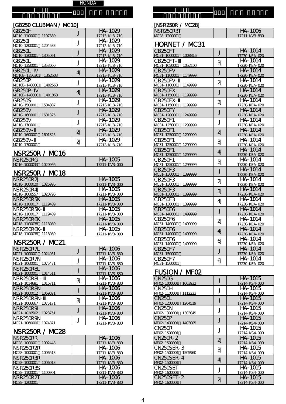#### [GB250 CLUBMAN / MC10]

機 種 名

| GB <sub>25</sub> CH      | J       | HA-1029       |
|--------------------------|---------|---------------|
| MC1C-1100001 1107389     |         | 17213-KL8-710 |
| GB25CJ                   | J       | HA-1029       |
| MC1C-1200001 1204583     |         | 17213-KL8-710 |
| GB25CL                   | J       | HA-1029       |
| MC1C-1300001 1305061     |         | 17213-KL8-710 |
| GB25CL                   | J       | HA-1029       |
| MC1C-1350001<br>1353000  |         | 17213-KL8-710 |
| GB25CL-                  | 4J      | HA-1029       |
| MC1CE-1350301 1352503    |         | 17213-KL8-710 |
| GB250P                   | $\cdot$ | HA-1029       |
| MC1CE-1400001<br>1402560 |         | 17213-KL8-710 |
| <b>GB25CP-</b>           | 4J      | HA-1029       |
| MC1CE-1400001<br>1401860 |         | 17213-KL8-710 |
| GB25CS                   | ┚       | HA-1029       |
| MC1C-1500001<br>1504087  |         | 17213-KL8-710 |
| GB25CV                   | J       | HA-1029       |
| MC1C-1600001<br>1601325  |         | 17213-KL8-710 |
| GB25CV                   | ┚       | HA-1029       |
| MC1C-1700001             |         | 17213-KL8-710 |
| $GB25CV-$                | 2J      | HA-1029       |
| MC1C-1600001 1601325     |         | 17213-KL8-710 |
| GB25CV-                  |         | HA-1029       |
| MC1C-1700001             | 2J      | 17213-KL8-710 |

#### NSR250R / MC16

| NSR <sub>250RG</sub> | HA-1005              |
|----------------------|----------------------|
| MC16-1000033 1020966 | $17211 -$ KV3- $000$ |

### NSR250R / MC18

| <b>NSR250R2J</b>        | HA-1005       |
|-------------------------|---------------|
| MC18-100002C 1026996    | 17211-KV3-000 |
| NSR250R4J               | HA-1005       |
| MC18-1008557 1020796    | 17211-KV3-000 |
| NSR <sub>250R5</sub> K  | HA-1005       |
| MC18-1100017 1119489    | 17211-KV3-000 |
| NSR250R5K-              | HA-1005       |
| MC18-1100017 1119489    | 17211-KV3-000 |
| NSR <sub>250R6</sub> K  | HA-1005       |
| MC18-1100038 1118089    | 17211-KV3-000 |
| NSR <sub>250R6K</sub> - | HA-1005       |
| MC18-1100038 1118089    | 17211-KV3-000 |

### NSR250R / MC21

| NSR 250R 7L              |    | <b>HA-1006</b> |
|--------------------------|----|----------------|
| MC 21-1000001<br>1024051 |    | 17211-KV3-830  |
| <b>NSR250R7N</b>         |    | HA-1006        |
| MC 21-1060001<br>1075471 |    | 17211-KV3-830  |
| NSR <sub>250R8L</sub>    |    | HA-1006        |
| MC 21-1000001<br>1014511 |    | 17211-KV3-830  |
| NSR250R8L-               | 31 | HA-1006        |
| 1016711<br>MC 21-1014681 |    | 17211-KV3-830  |
| NSR <sub>250R8N</sub>    |    | HA-1006        |
| 1069021<br>MC 21-1060012 |    | 17211-KV3-830  |
| NSR <sub>250R8N</sub> -  | 31 | HA-1006        |
| MC21-1066667 1075171     |    | 17211-KV3-830  |
| NSR <sub>250R9</sub> L   |    | HA-1006        |
| 1023751<br>MC 21-1020502 |    | 17211-KV3-830  |
| NSR <sub>250R9N</sub>    |    | HA-1006        |
| MC21-1060006 1074871     |    | 17211-KV3-830  |

### NSR250R / MC28

| NSR <sub>250RR</sub>     | <b>HA-1006</b> |
|--------------------------|----------------|
| MC28-1000001 1002443     | 17211-KV3-830  |
| NSR <sub>250R2R</sub>    | HA-1006        |
| MC28-1000001 1006513     | 17211-KV3-830  |
| NSR250R3R                | <b>HA-1006</b> |
| MC28-1000001 1006013     | 17211-KV3-830  |
| <b>NSR250R3S</b>         | $HA - 1006$    |
| MC 28-1100001<br>1100901 | 17211-KV3-830  |
| NSR <sub>250R2T</sub>    | <b>HA-1006</b> |
| MC 28-1200001            | 17211-KV3-830  |

| [NSR250R / MC28]                               |                |                                         |
|------------------------------------------------|----------------|-----------------------------------------|
| NSR <sub>250R3T</sub><br>MC 28-1200001         |                | <b>HA-1006</b><br>17211-KV3-830         |
| HORNET / MC31                                  |                |                                         |
| CB <sub>250FT</sub><br>MC31-1000001<br>1008816 | J              | HA-1014<br>17230-KEA-020                |
| CB <sub>250FT</sub> -<br>MC31-1050001 105210C  | 31             | HA-1014<br>17230-KEA-020                |
| CB250FV<br>MC31-1100001<br>1149999             | J              | HA-1014<br>17230-KEA-020                |
| CB250FV-<br>MC 31-1100001<br>1149999           | $\overline{2}$ | HA-1014<br>17230-KEA-020                |
| CB <sub>250FX</sub><br>MC31-1150001 1199999    | J              | HA-1014<br>17230-KEA-020                |
| <b>CB250FX-</b><br>MC31-1150001<br>1199999     | $\overline{2}$ | $HA - 1014$<br>17230-KEA-020            |
| CB <sub>250</sub> FY<br>MC31-1200001 1249999   | J              | $HA - 1014$<br>17230-KEA-020            |
| CB250F1<br>MC31-1250001<br>1299999             | J              | HA-1014<br>17230-KEA-020                |
| CB250F1<br>MC31-1250001<br>1299999             | 2J             | HA-1014<br>17230-KEA-020                |
| CB250F1<br>MC31-1250001<br>1299999             | 31             | $HA - 101\overline{4}$<br>17230-KEA-020 |
| CB250F1<br>MC31-1250001<br>1299999             | 4J             | HA-1014<br>17230-KEA-020                |
| CB250F1<br>MC31-1250001<br>1299999             | 5              | HA-1014<br>17230-KEA-020                |
| CB250F3<br>MC31-1300001<br>1399999             | J              | HA-1014<br>17230-KEA-020                |
| CB250F3<br>MC 31-1300001<br>1399999            | $\overline{2}$ | HA-1014<br>17230-KEA-020                |
| CB250F3<br>MC31-1300001<br>1399999             | 3J             | HA-1014<br>17230-KEA-020                |
| CB250F3<br>MC31-1300001 1399999                | 4J             | $\overline{HA}$ -1014<br>17230-KEA-020  |
| CB250F6<br>MC31-1400001 1499999                | $\mathbf{J}$   | HA-1014<br>17230-KEA-020                |
| CB250F6<br>MC 31-1400001<br>1499999            | 2J             | HA-1014<br><u>17230-KEA-020</u>         |
| CB250F6<br>MC31-1400001 1499999                | 4J             | HA-1014<br>17230-KEA-020                |
| CB250F6<br>MC31-1400001<br>1499999             | ଧ              | HA-1014<br>17230-KEA-020                |
| CB250F7<br>MC31-1500001                        | J              | HA-1014<br>17230-KEA-020                |
| CB250F7<br>MC31-1500001                        | ຝ              | <b>HA-1014</b><br>17230-KEA-020         |
| FIOORI I                                       |                |                                         |

#### FUSION / MFO2

| CN250G                  |    | HA-1015        |
|-------------------------|----|----------------|
| MF02-1000001<br>1003932 |    | 17214-KS4-000  |
| CN250H                  |    | HA-1015        |
| MF02-1100001 1112223    |    | 17214-KS4-000  |
| CN250L                  |    | HA-1015        |
| MF02-1200001<br>1204519 |    | 17214-KS4-000  |
| CN250N                  |    | HA-1015        |
| MF02-1300001<br>1303049 |    | 17214-KS4-000  |
| CN25OP                  |    | HA-1015        |
| MF02-1400001<br>1403005 |    | 17214-KS4-000  |
| CN250R                  |    | HA-1015        |
| MF02-1500001            |    | 17214-KS4-000  |
| CN250R-2                | 2J | HA-1015        |
| MF02-1500001            |    | 17214-KS4-000  |
| CN25OSER-3              | 31 | HA-1015        |
| MF02-1500001 1505960    |    | 17214-KS4-000  |
| CN250SER-4              | 4J | <b>HA-1015</b> |
| MF02-1500001            |    | 17214-KS4-000  |
| CN250SFT                |    | HA-1015        |
| MF02-1600001            |    | 17214-KS4-000  |
| <b>CN250SET-2</b>       | 2J | <b>HA-1015</b> |
| MF02-1600001            |    | 17214-KS4-000  |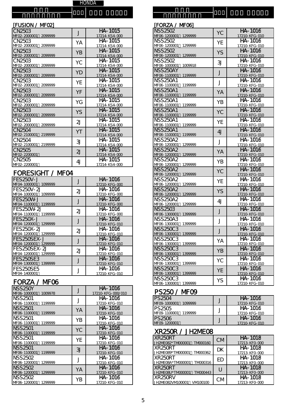#### [FUSION / MFO2]

機 種 名

| CN25C3                          | J              | HA-1015       |
|---------------------------------|----------------|---------------|
| 2099999<br>MF02-2000001         |                | 17214-KS4-OOC |
| <b>CN25C3</b>                   | YΑ             | HA-1015       |
| MF02-2000001<br>2099999         |                | 17214-KS4-00C |
| CN <sub>25</sub> C <sub>3</sub> | YΒ             | HA-1015       |
| MF02-2000001<br>2099999         |                | 17214-KS4-00C |
| CN2503                          |                | HA-1015       |
| MF02-2000001<br>2099999         | YC             | 17214-KS4-00C |
| CN <sub>25</sub> C <sub>3</sub> |                | HA-1015       |
| MF02-2000001<br>2099999         | YD             | 17214-KS4-00C |
| CN <sub>25</sub> C <sub>3</sub> |                | HA-1015       |
| MF02-2000001<br>2099999         | ΥE             | 17214-KS4-00C |
| CN <sub>25</sub> C <sub>3</sub> |                | HA-1015       |
| MF02-2000001<br>2099999         | ΥF             | 17214-KS4-00C |
| <b>CN25C3</b>                   | ΥG             | HA-1015       |
| MF02-2000001<br>2099999         |                | 17214-KS4-00C |
| CN <sub>25</sub> C <sub>3</sub> | YS             | HA-1015       |
| MF02-2000001<br>2099999         |                | 17214-KS4-OOC |
| CN25C3                          | $\overline{2}$ | HA-1015       |
| MF02-2000001<br>2099999         |                | 17214-KS4-00C |
| <b>CN25C4</b>                   | YT             | HA-1015       |
| MF02-2100001<br>2199999         |                | 17214-KS4-00C |
| <b>CN25C4</b>                   |                | HA-1015       |
| MF02-2100001<br>2199999         | 31             | 17214-KS4-OOC |
| CN25C5                          | $\overline{2}$ | HA-1015       |
| MF02-2200001                    |                | 17214-KS4-00C |
| CN2505                          | 4J             | HA-1015       |
| MF02-2200001                    |                | 17214-KS4-00C |

#### FORESIGHT / MFO4

| FES250V-J<br>MF04-1000001 1099999        |    | HA-1016<br>17210-KFG-000 |
|------------------------------------------|----|--------------------------|
| FFS250V-21<br>MF04-1000001 1099999       | 2J | HA-1016<br>17210-KFG-000 |
| FFS250M-J<br>MF04-1100001<br>1199999     |    | HA-1016<br>17210-KFG-000 |
| FFS250M-2J<br>MF04-1100001<br>1199999    | 2J | HA-1016<br>17210-KFG-000 |
| FFS250X-J<br>MF04-1200001 1299999        |    | HA-1016<br>17210-KFG-010 |
| FES250X-2J<br>MF04-1200001 1299999       | 21 | HA-1016<br>17210-KFG-010 |
| FFS250SFX-J<br>1299999<br>MF04-1200001   |    | HA-1016<br>17210-KFG-010 |
| FFS250SFX-21<br>MF04-1200001<br>1299999  | 21 | HA-1016<br>17210-KFG-010 |
| <b>FES250SE3</b><br>MF04-1300001 1399999 |    | HA-1016<br>17210-KFG-010 |
| FFS250SF5<br>MF04-1400001                |    | HA-1016<br>17210-KFG-010 |

# FORZA / MFO6

| <b>NSS250Y</b>      |         |    | HA-1016           |
|---------------------|---------|----|-------------------|
| MF06-1000001        | 1009978 |    | 17210-KFG-000/01C |
| NSS <sub>2501</sub> |         | J  | HA-1016           |
| MF06-1100001        | 1199999 |    | 17210-KFG-010     |
| <b>NSS2501</b>      |         | YA | HA-1016           |
| MF06-1100001        | 1199999 |    | 17210-KFG-010     |
| NSS2501             |         | ΥB | HA-1016           |
| MF06-1100001        | 1199999 |    | 17210-KFG-010     |
| NSS2501             |         | YC | HA-1016           |
| MF06-1100001        | 1199999 |    | 17210-KFG-010     |
| NSS2501             |         | ΥE | HA-1016           |
| MF06-1100001        | 1199999 |    | 17210-KFG-010     |
| NSS2501             |         | 3  | HA-1016           |
| MF06-1100001        | 1199999 |    | 17210-KFG-010     |
| NSS2502             |         |    | HA-1016           |
| MF06-1200001        | 1299999 |    | 17210-KFG-010     |
| NSS2502             |         | YA | HA-1016           |
| MF06-1200001        | 1299999 |    | 17210-KFG-010     |
| NSS2502             |         | ΥB | HA-1016           |
| MF06-1200001        | 1299999 |    | 17210-KFG-010     |

| [FORZA / MFO6]                             |                |                          |
|--------------------------------------------|----------------|--------------------------|
| <b>NSS2502</b>                             | YC             | HA-1016                  |
| MF06-1200001<br>1299999                    |                | 17210-KFG-010            |
| NSS 2502                                   | YE             | HA-1016                  |
| MF06-1200001<br>1299999                    |                | 17210-KFG-010            |
| <b>NSS2502</b>                             | YS             | HA-1016                  |
| MF06-1200001<br>1299999                    |                | 17210-KFG-010            |
| <b>NSS2502</b>                             | 31             | HA-1016                  |
| MF06-1000001<br>1009918                    |                | 17210-KFG-010            |
| <b>NSS250AY</b>                            | J              | HA-1016                  |
| MF06-1100001<br>1199999                    |                | 17210-KFG-010            |
| <b>NSS250A1</b>                            | J              | HA-1016                  |
| MF06-1100001<br>1199999                    |                | 17210-KFG-010            |
| <b>NSS250A1</b>                            | YA             | $\overline{HA}$ -1016    |
| MF06-1100001<br>1199999<br><b>NSS250A1</b> |                | 17210-KFG-010<br>HA-1016 |
| MF06-1100001<br>1199999                    | ΥB             | 17210-KFG-010            |
| NSS 250A1                                  |                | HA-1016                  |
| MF06-1100001<br>1199999                    | YC             | 17210-KFG-010            |
| <b>NSS250A1</b>                            |                | HA-1016                  |
| 1199999<br>MF06-1100001                    | YE             | 17210-KFG-010            |
| <b>NSS250A1</b>                            |                | HA-1016                  |
| MF06-1100001<br>1199999                    | 4J             | 17210-KFG-010            |
| <b>NSS250A2</b>                            |                | HA-1016                  |
| MF06-1200001<br>1299999                    | J              | 17210-KFG-010            |
| <b>NSS250A2</b>                            | YA             | HA-1016                  |
| MF06-1200001<br>1299999                    |                | 17210-KFG-010            |
| <b>NSS250A2</b>                            | YB             | HA-1016                  |
| MF06-1200001<br>1299999                    |                | 17210-KFG-010            |
| <b>NSS250A2</b>                            | YC             | HA-1016                  |
| MF06-1200001<br>1299999                    |                | 17210-KFG-010            |
| <b>NSS250A2</b>                            | YE             | HA-1016                  |
| MF06-1200001<br>1299999                    |                | 17210-KFG-010            |
| <b>NSS250A2</b>                            | YS             | HA-1016                  |
| MF06-1200001<br>1299999                    |                | 17210-KFG-010            |
| <b>NSS250A2</b><br>MF06-1200001            | 4 <sub>J</sub> | HA-1016                  |
| 1299999<br><b>NSS2503</b>                  |                | 17210-KFG-010<br>HA-1016 |
| MF06-1300001<br>1399999                    | J              | 17210-KFG-010            |
| NSS250A3                                   |                | HA-1016                  |
| MF06-1300001<br>1399999                    | J              | 17210-KFG-010            |
| NSS250C3                                   |                | HA-1016                  |
| MF06-1300001<br>1399999                    | J              | <u>17210-KFG-010</u>     |
| NSS250C3                                   |                | $\overline{HA}$ -1016    |
| MF06-1300001<br>1399999                    | YA             | 17210-KFG-010            |
| NSS250C3                                   |                | HA-1016                  |
| MF06-1300001<br>1399999                    | YB             | 17210-KFG-010            |
| NSS250C3                                   | YC             | HA-1016                  |
| MF06-1300001<br>1399999                    |                | 17210-KFG-010            |
| NSS250C3                                   | YE             | HA-1016                  |
| MF06-1300001<br>1399999                    |                | 17210-KFG-010            |
| NSS250C3                                   | YS             | HA-1016                  |
| MF06-1300001<br>1399999                    |                | 17210-KFG-010            |

# PS250 / MF09

in di 種 名

| <b>PS2504</b>           | HA-1016       |
|-------------------------|---------------|
| MF09-1000001<br>1099999 | 17210-KFG-010 |
| <b>PS2505</b>           | HA-1016       |
| IMF09-1100001 1199999   | 17210-KFG-010 |
| <b>PS2506</b>           | HA-1016       |
| MF09-1200001            | 17210-KFG-010 |

# XR250R / JH21 NEO 8

| <b>XR250RT</b>                | СM  | HA-1018        |
|-------------------------------|-----|----------------|
| JH2ME082*TM000001 TM000160    |     | 17213-KFO-OOC  |
| <b>XR250RT</b>                | DК  | HA-1018        |
| JH2ME089*TM000001<br>TM000362 |     | 17213-KFO-OOC  |
| <b>XR250RT</b>                | FD  | <b>HA-1018</b> |
| JH2ME08A*TM000001 TM000316    |     | 17213-KFO-OOC  |
| <b>XR250RT</b>                |     | $HA - 1018$    |
| JH2ME08U*TM000001<br>TM000443 |     | 17213-KFO-OOC  |
| XR250RV                       | CM. | HA-1018        |
| JH2ME082VM100001 VM100100     |     | 17213-KFO-OOC  |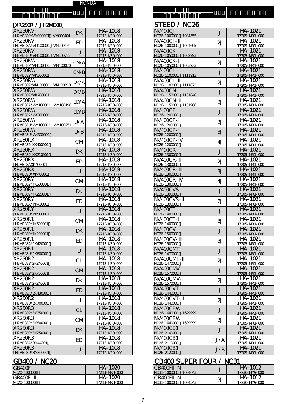| [XR250R / JH2ME08]                           |             |                                        | STEED / NC26                                  |                |                                        |
|----------------------------------------------|-------------|----------------------------------------|-----------------------------------------------|----------------|----------------------------------------|
| XR250RV<br>JH2ME089*VM000001 VM000404        | <b>DK</b>   | HA-1018<br>17213-KFO-000               | NV <sub>400CJ</sub><br>NC26-1000001 1004555   | J              | HA-1021<br>17205-MR1-000               |
| <b>XR250RV</b><br>JH2ME08A*VM100001 VM100469 | <b>ED</b>   | HA-1018<br>17213-KFO-000               | NV400CJ-<br>NC26-1000001 1004605              | 2J             | HA-1021<br>17205-MR1-000               |
| <b>XR250RV</b><br>JH2ME08U*VM100001 VM100732 | U           | HA-1018<br>17213-KFO-000               | NV400CK<br>NC26-1050001 1052993               | J              | HA-1021<br>17205-MR1-000               |
| <b>XR250RW</b><br>JH2ME082*WV100001 WV100020 | <b>CM/A</b> | HA-1018                                | NV400CK-                                      | 2J             | HA-1021                                |
| XR250RW                                      | <b>CM/B</b> | 17213-KFO-000<br>HA-1018               | NC26-1050001 1053233<br>NV <sub>400CL</sub>   | J              | 17205-MR1-000<br>HA-1021               |
| JH2NE082*WK300001<br><b>XR250RW</b>          | DK/A        | 17213-KFO-000<br>HA-1018               | NC26-1100001 1111913<br>NV <sub>400CL</sub>   | 2J             | 17205-MR1-000<br>HA-1021               |
| JH2ME089*WV100001 WV100218<br>XR250RW        | DK/B        | 17213-KFO-000<br>HA-1018               | NC26-1100001 1111873<br>NV <sub>4</sub> 00CN  | J              | 17205-MR1-000<br>HA-1021               |
| JH2NE089*WK200001<br>XR250RW                 | ED/A        | 17213-KFO-000<br>HA-1018               | NC26-1150001 1161846<br>NV <sub>400</sub> CN- | 2J             | 17205-MR1-000<br>HA-1021               |
| JH2ME08A*WV100001 WV100196<br><b>XR250RW</b> | ED/B        | 17213-KFO-000<br>$HA - 1018$           | NC26-1150001 1161966<br>NV400CP               |                | 17205-MR1-000<br>HA-1021               |
| JH2NE08A*WK300001<br><b>XR250RW</b>          |             | 17213-KFO-000<br>HA-1018               | NC26-1200001<br>NV400CP-                      | J              | 17205-MR1-000<br>HA-1021               |
| JH2ME08U*WM100001 WM100251<br><b>XR250RW</b> | U/A         | 17213-KFO-000<br>HA-1018               | NC26-1200001<br>NV400CP-                      | $\overline{2}$ | 17205-MR1-000<br>HA-1021               |
| JH2NE08U*WK300001                            | U/B         | 17213-KFO-000                          | NC26-1200001                                  | 3J             | 17205-MR1-000<br>$\overline{HA}$ -1021 |
| XR250RX<br>JH2ME082*XK400001                 | <b>CM</b>   | $\overline{HA}$ -1018<br>17213-KFO-000 | NV400CP-<br>NC26-1200001                      | 4 <sub>J</sub> | 17205-MR1-000                          |
| <b>XR250RX</b><br>JH2NE089*XK210001          | <b>DK</b>   | HA-1018<br>17213-KFO-000               | NV400CR<br>NC26-1300001                       | J              | HA-1021<br>17205-MR1-000               |
| $\overline{X}R250RX$<br>JH2ME08AXK400001     | <b>ED</b>   | HA-1018<br>17213-KFO-000               | NV400CR-<br>NC26-1300001                      | 2J             | HA-1021<br>17205-MR1-000               |
| XR250RX<br>JH2ME08U*XK400001                 | U           | HA-1018<br>17213-KFO-000               | NV400CR-<br>NC26-1300001                      | 3J             | HA-1021<br>17205-MR1-000               |
| <b>XR250RY</b><br>JH2ME082*YK500001          | <b>CM</b>   | HA-1018<br>17213-KFO-000               | NV400CR-<br>NC26-1300001                      | 4J             | HA-1021<br>17205-MR1-000               |
| XR250RY<br>JH2ME089*YK220001                 | <b>DK</b>   | HA-1018<br>17213-KFO-000               | NV400CVS<br>NC26-1390001                      | J              | HA-1021<br>17205-MR1-000               |
| XR250RY<br>JH2ME08A*YK410001                 | <b>ED</b>   | HA-1018<br>17213-KFO-000               | NV400CVS-<br>NC26-1390001                     | 2J             | HA-1021<br>17205-MR1-000               |
| XR250RY<br>JH2ME08U*YK500001                 | $\cup$      | HA-1018                                | NV400CT<br>NC26-1400001                       | J              | HA-1021<br>17205-MR1-000               |
| XR250R1                                      | <b>CM</b>   | 17213-KFO-000<br>$\overline{HA-1}$ 018 | NV400CT-                                      | 31             | $\overline{HA}$ -1021                  |
| JH2ME082*1K600001<br><b>XR250R1</b>          | <b>DK</b>   | 17213-KFO-000<br>HA-1018               | NC26-1400001<br>NV400CV                       | J              | 17205-MR1-000<br>HA-1021               |
| JH2ME089*1K230001<br>XR250R1                 | <b>ED</b>   | 17213-KFO-000<br>HA-1018               | NC26-1500001<br>NV400CV-                      | 31             | 17205-MR1-000<br>HA-1021               |
| JH2ME08A*1K420001<br><b>XR250R1</b>          | U           | 17213-KFO-000<br>HA-1018               | NC 26-1500001<br>NV400CMT                     | J              | 17205-MR1-000<br>HA-1021               |
| JH2ME08U*1K600001<br>XR250R2                 | <b>CL</b>   | 17213-KFO-000<br>HA-1018               | NC26-1470001<br>NV400CNT-                     | 2J             | 17205-MR1-000<br>HA-1021               |
| JH2NE089*2K240001<br>XR250R2                 |             | 17213-KFO-000<br>HA-1018               | NC 26-1470001<br>NV400CMV                     |                | 17205-MR1-000<br>HA-1021               |
| JH2ME082*2K700001<br>XR250R2                 | <b>CM</b>   | 17213-KFO-000<br>HA-1018               | NC26-1570001<br>NV400CMV-                     | J              | 17205-MR1-000<br>HA-1021               |
| JH2NE089*2K240001<br><b>XR250R2</b>          | <b>DK</b>   | 17213-KFO-000<br>HA-1018               | NC26-1570001<br>NV400CVT                      | 2J             | 17205-MR1-000<br>HA-1021               |
| JH2ME08A*2K430001                            | <b>ED</b>   | 17213-KFO-000                          | NC26-1440001                                  | J              | 17205-MR1-000                          |
| XR250R2<br>JH2ME08U*2K700001                 | $\cup$      | HA-1018<br>17213-KFO-000               | NV400CVT-<br>NC26-1440001                     | 2J             | HA-1021<br>17205-MR1-000               |
| <b>XR250R3</b><br>JH2ME089*3N250001          | <b>CL</b>   | HA-1018<br>17213-KFO-000               | NV400CBW<br>NC26-1640001 1699999              | J              | HA-1021<br>17205-MR1-000               |
| XR250R3<br>JH2ME082*3M800001                 | <b>CM</b>   | HA-1018<br>17213-KFO-000               | NV400CBW<br>NC26-1640001 1699999              | 2J             | HA-1021<br>17205-MR1-000               |
| <b>XR250R3</b><br>JH2ME089*3N250001          | <b>DK</b>   | HA-1018<br>17213-KFO-000               | NV400CB1<br>NC26-2100001                      | J              | HA-1021<br>17205-MR1-000               |
| XR250R3<br>JH2NE08A*3N44001                  | ED          | HA-1018<br>17213-KFO-000               | <b>NV400CB1</b><br>NC26-2110001               | J/A            | HA-1021<br>17205-MR1-000               |
| XR250R3<br>JH2NE08U*3N800001                 | U           | HA-1018<br>17213-KFO-000               | NV400CB1<br>NC26-2120001                      | J/B            | HA-1021<br>17205-MR1-000               |
|                                              |             |                                        |                                               |                |                                        |

| ___ __       |                | _ _ . _ _ _ _ . _ _     |   | ------        |
|--------------|----------------|-------------------------|---|---------------|
| GB4CCF       | <b>HA-1020</b> | ICB400F<br>N            |   | HA-1012       |
| NC20-1000001 | 17213-MK4-000  | 1034643<br>NC31-1000001 |   | 17230-MY9-000 |
| GB4CCF-      | <b>HA-1020</b> | CB400F<br>N-            | 3 | HA-1012       |
| NC20-1000001 | 17213-MK4-000  | NC31-1000001<br>1034543 |   | 17230-MY9-000 |

| 250R / JH21VE081                 |             |                                        | STEED / NC26                                |     |                                 |
|----------------------------------|-------------|----------------------------------------|---------------------------------------------|-----|---------------------------------|
| 50RV<br>E089*VM000001 VM000404   | <b>DK</b>   | HA-1018<br>17213-KFO-000               | NV <sub>400CJ</sub><br>NC26-1000001 1004555 | J   | <b>HA-1021</b><br>17205-MR1-000 |
| 50RV                             | <b>ED</b>   | HA-1018                                | NV400CJ-                                    | 2J  | HA-1021                         |
| E08A*VIV100001 VIV100469<br>50RV |             | 17213-KFO-000<br>HA-1018               | NC26-1000001 1004605<br>NV400CK             |     | 17205-MR1-000<br>HA-1021        |
| E08U*VIV100001 VIV100732         | $\cup$      | 17213-KFO-000                          | NC26-1050001 1052993                        | J   | 17205-MR1-000                   |
| 50RW<br>E082*WV100001 WV100020   | <b>CM/A</b> | HA-1018<br>17213-KFO-000               | NV400CK-<br>NC26-1050001 1053233            | 2J  | HA-1021<br>17205-MR1-000        |
| 50RW                             | <b>CM/B</b> | HA-1018                                | NV <sub>400CL</sub>                         | J   | HA-1021                         |
| E082*WK300001<br>50RW            | DK/A        | 17213-KFO-000<br>HA-1018               | NC26-1100001 1111913<br>$NVAOOCL -$         | 2J  | 17205-MR1-000<br>HA-1021        |
| E089*WV100001 WV100218<br>50RW   | DK/B        | 17213-KFO-000<br>HA-1018               | NC26-1100001 1111873<br>NV <sub>400CN</sub> | J   | 17205-MR1-000<br>HA-1021        |
| E089*WK200001<br>50RW            |             | 17213-KFO-000<br>HA-1018               | NC26-1150001 1161846<br>NV400CN-            |     | 17205-MR1-000<br>HA-1021        |
| EO8A*WV1OOO01 WV1OO196           | ED/A        | 17213-KFO-000                          | NC26-1150001 1161966                        | 2J  | 17205-MR1-000                   |
| 50RW<br>EO8A * WK300001          | ED/B        | HA-1018<br>17213-KFO-000               | NV400CP<br>NC26-1200001                     | J   | HA-1021<br>17205-MR1-000        |
| 50RW<br>E08U*WV100001 WV100251   | U/A         | $\overline{HA}$ -1018<br>17213-KFO-000 | NV400CP-<br>NC26-1200001                    | 2J  | HA-1021<br>17205-MR1-000        |
| 50RW                             | U/B         | HA-1018                                | NV400CP-                                    | 3J  | HA-1021                         |
| E08U*WK300001<br>50RX            | <b>CM</b>   | 17213-KFO-000<br>HA-1018               | NC26-1200001<br>NV400CP-                    | 4J  | 17205-MR1-000<br>HA-1021        |
| E082*XK400001<br>50RX            | <b>DK</b>   | 17213-KFO-000<br>HA-1018               | NC26-1200001<br>NV <sub>400</sub> CR        | J   | 17205-MR1-000<br>HA-1021        |
| E089*XK210001<br>50RX            |             | 17213-KFO-000<br>HA-1018               | NC26-1300001<br>NV400CR-                    |     | 17205-MR1-000<br>HA-1021        |
| E08AXK400001                     | <b>ED</b>   | 17213-KFO-000                          | NC26-1300001                                | 2J  | 17205-MR1-000                   |
| 50RX<br>E08U*XK400001            | $\cup$      | HA-1018<br>17213-KFO-000               | NV400CR-<br>NC26-1300001                    | 3J  | HA-1021<br>17205-MR1-000        |
| 50RY<br>E082*YK500001            | <b>CM</b>   | HA-1018<br>17213-KFO-000               | NV400CR-<br>NC26-1300001                    | 4J  | $H$ A-1021<br>17205-MR1-000     |
| 50RY                             | <b>DK</b>   | HA-1018                                | NV400CVS                                    | J   | HA-1021                         |
| E089*YK220001<br>50RY            | <b>ED</b>   | 17213-KFO-000<br>HA-1018               | NC26-1390001<br>NV400CVS-                   | 2J  | 17205-MR1-000<br>HA-1021        |
| E08A*YK410001<br>50RY            | $\cup$      | 17213-KFO-000<br>HA-1018               | NC26-1390001<br>NV <sub>400</sub> CT        | J   | 17205-MR1-000<br>HA-1021        |
| E08U*YK500001<br>50R1            |             | 17213-KFO-000<br>HA-1018               | NC26-1400001<br>NV400CT-                    |     | 17205-MR1-000<br>HA-1021        |
| E082*1K600001                    | CM          | 17213-KFO-000                          | NC <sub>26</sub> -1400001                   | 31  | 17205-MR1-000                   |
| 50R1<br>E089*1K230001            | <b>DK</b>   | HA-1018<br>17213-KFO-000               | NVAOCV<br>NC26-1500001                      | J   | HA-1021<br>17205-MR1-000        |
| 50R1<br>EO8A*1K420001            | <b>ED</b>   | HA-1018                                | $NVAOCV -$<br>NC26-1500001                  | 3J  | HA-1021<br>17205-MR1-000        |
| 50R1                             | $\cup$      | 17213-KFO-000<br>HA-1018               | NV400CMT                                    | J   | HA-1021                         |
| E08U*1K600001<br>50R2            | <b>CL</b>   | 17213-KFO-000<br>HA-1018               | NC26-1470001<br>NV400CNT-                   | 2J  | 17205-MR1-000<br>HA-1021        |
| E089*2K240001<br>50R2            | <b>CM</b>   | 17213-KFO-000<br>HA-1018               | NC26-1470001<br>NV400CM                     | J   | 17205-MR1-000<br>HA-1021        |
| E082*2K700001<br>50R2            | <b>DK</b>   | 17213-KFO-000<br>HA-1018               | NC26-1570001<br>NV400CMV-                   | 2J  | 17205-MR1-000<br>HA-1021        |
| E089*2K240001<br>50R2            |             | 17213-KFO-000<br>HA-1018               | NC26-1570001<br>NV400CVT                    |     | 17205-MR1-000<br>HA-1021        |
| E08A*2K430001                    | ED          | 17213-KFO-000                          | NC26-1440001                                | J   | 17205-MR1-000                   |
| 50R2<br>E08U*2K700001            | $\cup$      | HA-1018<br>17213-KFO-000               | NV400CVT-<br>NC26-1440001                   | 2J  | HA-1021<br>17205-MR1-000        |
| 50R3<br>E089*3IV250001           | CL          | HA-1018<br>17213-KFO-000               | NV400CBW<br>NC26-1640001 1699999            | J   | HA-1021<br>17205-MR1-000        |
| 50R3<br>E082*3M800001            | <b>CM</b>   | HA-1018<br>17213-KFO-000               | NV400CBW<br>NC26-1640001 1699999            | 2J  | HA-1021<br>17205-MR1-000        |
| 50R3<br>E089*3IV250001           | <b>DK</b>   | HA-1018<br>17213-KFO-000               | NV400CB1<br>NC26-2100001                    | J   | HA-1021<br>17205-MR1-000        |
| 50R3                             | ED          | HA-1018                                | NV400CB1                                    | J/A | HA-1021                         |
| E08A*3IV44001                    |             | 17213-KFO-000                          | NC26-2110001                                |     | 17205-MR1-000                   |

# GB400 / NC20 CB400 SUPER FOUR / NC31

| CB400F<br>$NC31 - 1000001$<br>$-1034643$ |    | $HA - 1012$<br>17230-MY9-000 |
|------------------------------------------|----|------------------------------|
| ICB400F<br>$NC31-1000001$<br>1034543     | 31 | $HA - 1012$<br>17230-MY9-000 |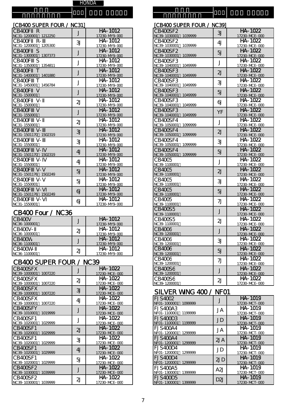機種名 機種名

# [CB400 SUPER FOUR / NC31]

| CB400F R<br>NC31-1200001 1212250  | J              | HA-1012<br>17230-MY9-000                 | CB400SF2<br>NC39-1030001 1039999    | 3J             | HA-1022<br>17230-MCE-000       |
|-----------------------------------|----------------|------------------------------------------|-------------------------------------|----------------|--------------------------------|
| CB400F R-<br>NC31-1200001 1205300 | 31             | HA-1012<br>17230-MY9-000                 | CB400SF2<br>NC39-1030001 1039999    | 4 <sub>J</sub> | HA-1022<br>17230-MCE-000       |
| CB400F S<br>NC31-1300001 1307373  | J              | HA-1012<br>17230-MY9-000                 | CB400SF2<br>NC39-1030001 1039999    | 5J             | HA-1022<br>17230-MCE-000       |
| CB400F S<br>NC31-1350001 1354811  | J              | HA-1012<br>17230-MY9-000                 | CB400SF3<br>NC39-1040001<br>1049999 | J              | HA-1022<br>17230-MCE-000       |
| CB400F T<br>NC31-1400001 1401880  | J              | HA-1012<br>17230-MY9-000                 | CB400SF3<br>NC39-1040001<br>1049999 | 2J             | HA-1022<br>17230-MCE-000       |
| CB400F T<br>NC31-1450001 1456784  | J              | HA-1012<br>17230-MY9-000                 | CB400SF3<br>NC39-1040001<br>1049999 | 3J             | HA-1022<br>17230-MCE-000       |
| CB400F V<br>NC31-1500001          | J              | HA-1012<br>17230-MY9-000                 | CB400SF3<br>NC39-1040001<br>1049999 | 5J             | HA-1022<br>17230-MCE-000       |
| CB400F V-<br>NC31-1500001         | 2J             | HA-1012<br>17230-MY9-000                 | CB400SF3<br>NC39-1040001<br>1049999 | 6              | HA-1022<br>17230-MCE-000       |
| CB400F V<br>NC31-1550001          | J              | HA-1012<br>17230-MY9-000                 | CB400SF3<br>NC39-1040001<br>1049999 | YF             | HA-1022<br>17230-MCE-000       |
| CB400F V-<br>NC31-1550001         | 2J             | $HA - 1012$<br>17230-MY9-000             | CB400SF4<br>NC39-1050001 1099999    | J              | HA-1022<br>17230-MCE-000       |
| CB400F V-<br>NC31-1501170 1502319 | 3J             | HA-1012<br>17230-MY9-000                 | CB400SF4<br>NC39-1050001 1099999    | 2J             | HA-1022<br>17230-MCE-000       |
| CB400F V-<br>NC31-1550001         | 31             | HA-1012<br>17230-MY9-000                 | CB400SF4<br>NC39-1050001 1099999    | 31             | HA-1022<br>17230-MCE-000       |
| CB400F V-<br>NC31-1501170 1502319 | 4J             | HA-1012<br>17230-MY9-000                 | CB400SF4<br>NC39-1050001 1099999    | 5J             | HA-1022<br>17230-MCE-000       |
| CB400F V-<br>NC31-1550001         | 4 <sub>J</sub> | HA-1012<br>17230-MY9-000                 | CB40C5<br>NC39-1100001              | J              | HA-1022<br>17230-MCE-000       |
| CB400F V-<br>NC31-1501176 1502249 | 5J             | HA-1012<br>17230-MY9-000                 | <b>CB40C5</b><br>NC39-1100001       | 2J             | HA-1022<br>17230-MCE-000       |
| CB400F V-<br>NC31-1550001         | 5J             | HA-1012<br>17230-MY9-000                 | CB40C5<br>NC39-1100001              | 3J             | HA-1022<br>17230-MCE-000       |
| CB400F V-<br>NC31-1501176 1502249 | $\omega$       | HA-1012<br>17230-MY9-000                 | <b>CB40C5</b><br>NC39-1100001       | 5J             | HA-1022<br>17230-MCE-000       |
| CB400F V-<br>NC 21 1550001        | 61             | HA-1012<br>$17220 \text{ N}$ MQ $\alpha$ | CB4005<br>$MCM20$ 11 $OM1$          | 7J             | HA-1022<br>$17220 \text{ MSE}$ |

# CB400 Four / NC36

| CB40CV<br>NC36-1000001  |                | HA-1012<br>17230-MY9-000     | CB400S5<br>NC39-1100001 | 2J | HA-1022<br>17230-MCE-000 |
|-------------------------|----------------|------------------------------|-------------------------|----|--------------------------|
| CB40CV-<br>NC36-1000001 | $\Omega$       | HA-1012<br>17230-MY9-000     | CB40C6<br>NC39-1200001  |    | HA-1022<br>17230-MCE-000 |
| CB40CW<br>NC36-1100001  |                | $HA - 1012$<br>17230-MY9-000 | CB40C6<br>NC39-1200001  | 31 | HA-1022<br>17230-MCE-000 |
| CB40CW-<br>NC36-1100001 | $\overline{2}$ | $HA - 1012$<br>17230-MY9-000 | CB4006<br>NC39-1200001  | 5J | HA-1022<br>17230-MCE-000 |

# CB400 SUPER FOUR / NC39

| CB400SFX                |    | HA-1022       | CB400S6                 |     | HA-1022       |
|-------------------------|----|---------------|-------------------------|-----|---------------|
| NC39-1000001<br>1007220 |    | 17230-MCE-000 | NC39-1200001            |     | 17230-MCE-000 |
| CB4OOSFX                | 2J | HA-1022       | CB400S6                 | 2J  | HA-1022       |
| 1007220<br>NC39-1000001 |    | 17230-MCE-000 | NC39-1200001            |     | 17230-MCE-000 |
| CB400SFX                | 3J | HA-1022       |                         |     |               |
| NC39-1000001<br>1007220 |    | 17230-MCE-000 | SILVER WING 400 / NFO1  |     |               |
| CB4OOSFX                | 4J | HA-1022       | IFJS4002                |     | HA-1019       |
| NC39-1000001<br>1007220 |    | 17230-MCE-000 | NF01-1000001<br>1099999 |     | 17230-MCT-000 |
| CB400SFY                |    | HA-1022       | FJS400A3                | JA  | HA-1019       |
| NC39-1010001<br>1019999 |    | 17230-MCE-000 | NF01-1100001<br>1199999 |     | 17230-MCT-000 |
| CB400SF1                |    | HA-1022       | EJS400D3                | JD  | HA-1019       |
| 1029999<br>NC39-1020001 |    | 17230-MCE-000 | 1199999<br>NF01-1100001 |     | 17230-MCT-000 |
| CB400SF1                | 2J | HA-1022       | IFJS400A4               | JA  | HA-1019       |
| NC39-1020001<br>1029999 |    | 17230-MCE-000 | NF01-1200001<br>1299999 |     | 17230-MCT-000 |
| CB400SF1                | 31 | HA-1022       | IFJS400A4               | 2JA | HA-1019       |
| 1029999<br>NC39-1020001 |    | 17230-MCE-000 | NF01-1200001<br>1299999 |     | 17230-MCT-000 |
| CB400SF1                | 4J | HA-1022       | FJS400D4                | JD  | HA-1019       |
| NC39-1020001<br>1029999 |    | 17230-MCE-000 | NF01-1200001<br>1299999 |     | 17230-MCT-000 |
| CB400SF1                | 5J | HA-1022       | EJS400D4                | 2JD | HA-1019       |
| NC39-1020001<br>1029999 |    | 17230-MCE-000 | NF01-1200001<br>1299999 |     | 17230-MCT-000 |
| CB400SF2                |    | HA-1022       | FJS400A5                | A2J | HA-1019       |
| NC39-1030001<br>1039999 |    | 17230-MCE-000 | NF01-1300001<br>1399999 |     | 17230-MCT-000 |
| CB400SF2                | 2J | HA-1022       | FJS400D5                | D2J | HA-1019       |
| 1039999<br>NC39-1030001 |    | 17230-MCE-000 | NF01-1300001<br>1399999 |     | 17230-MCT-000 |

| [CB400 SUPER FOUR / NC31]   |                |                                        | [CB400 SUPER FOUR / NC39]        |                |                              |
|-----------------------------|----------------|----------------------------------------|----------------------------------|----------------|------------------------------|
| CB4OOF R                    |                | HA-1012                                | CB400SF2                         | 3J             | HA-1022                      |
| NC31-1200001 1212250        | J              | 17230-MY9-000                          | NC39-1030001 1039999             |                | 17230-MCE-000                |
| CB400F R-                   | 3J             | HA-1012                                | CB400SF2                         | 4 <sub>J</sub> | HA-1022                      |
| NC31-1200001 1205300        |                | 17230-MY9-000                          | NC39-1030001 1039999             |                | 17230-MCE-000                |
| CB40OF S                    | J              | HA-1012                                | CB400SF2                         | 5J             | HA-1022                      |
| NC31-1300001 1307373        |                | 17230-MY9-000                          | NC39-1030001 1039999             |                | 17230-MCE-000                |
| CB4OOF S                    | J              | HA-1012                                | CB400SF3                         | J              | HA-1022                      |
| NC31-1350001 1354811        |                | 17230-MY9-000                          | NC39-1040001 1049999             |                | 17230-MCE-000                |
| CB400FT                     | J              | HA-1012                                | CB400SF3                         | 2J             | HA-1022                      |
| NC31-1400001 1401880        |                | 17230-MY9-000                          | NC39-1040001 1049999             |                | 17230-MCE-000                |
| CB4OOF T                    | J              | HA-1012                                | CB400SF3                         | 31             | HA-1022                      |
| NC31-1450001 1456784        |                | 17230-MY9-000                          | NC39-1040001 1049999             |                | 17230-MCE-000                |
| CB400F V                    | J              | HA-1012                                | CB400SF3                         | 5J             | HA-1022                      |
| NC31-1500001                |                | 17230-MY9-000<br>$\overline{HA}$ -1012 | NC39-1040001 1049999             |                | 17230-MCE-000                |
| CB400F V-                   | 2J             |                                        | CB400SF3                         | 6              | HA-1022                      |
| NC 31 - 1500001<br>CB400F V |                | 17230-MY9-000<br>HA-1012               | NC39-1040001 1049999<br>CB400SF3 |                | 17230-MCE-000<br>$HA - 1022$ |
| NC31-1550001                | J              | 17230-MY9-000                          | NC39-1040001 1049999             | YF             | 17230-MCE-000                |
| CB400F<br>$V -$             |                | $HA - 1012$                            | CB400SF4                         |                | HA-1022                      |
| NC31-1550001                | $\overline{2}$ | 17230-MY9-000                          | NC39-1050001 1099999             | J              | 17230-MCE-000                |
| CB400F V-                   |                | $HA - 1012$                            | CB400SF4                         |                | HA-1022                      |
| NC31-1501170 1502319        | 3J             | 17230-MY9-000                          | NC39-1050001 1099999             | 2J             | 17230-MCE-000                |
| CB4OOF V-                   |                | HA-1012                                | CB400SF4                         |                | HA-1022                      |
| NC31-1550001                | 3J             | 17230-MY9-000                          | NC39-1050001 1099999             | 3J             | 17230-MCE-000                |
| CB400F V-                   | 4J             | HA-1012                                | CB400SF4                         |                | HA-1022                      |
| NC31-1501170 1502319        |                | 17230-MY9-000                          | NC39-1050001 1099999             | 5J             | 17230-MCE-000                |
| CB400F V-                   | 4J             | HA-1012                                | CB40C5                           | J              | HA-1022                      |
| NC31-1550001                |                | 17230-MY9-000                          | NC39-1100001                     |                | 17230-MCE-000                |
| CB400F V-                   | 5J             | HA-1012                                | <b>CB40C5</b>                    | 2J             | HA-1022                      |
| NC31-1501176 1502249        |                | 17230-MY9-000                          | NC39-1100001                     |                | 17230-MCE-000                |
| CB400F V-                   | 5J             | HA-1012                                | <b>CB40C5</b>                    | 31             | HA-1022                      |
| NC31-1550001                |                | 17230-MY9-000                          | NC39-1100001                     |                | 17230-MCE-000                |
| CB400F V-                   | $\omega$       | HA-1012                                | <b>CB40C5</b>                    | 5J             | HA-1022                      |
| NC31-1501176 1502249        |                | 17230-MY9-000                          | NC39-1100001                     |                | 17230-MCE-000                |
| CB400F V-                   | 61             | HA-1012                                | CB4005                           | 7J             | HA-1022                      |
| NC31-1550001                |                | 17230-MY9-000                          | NC39-1100001                     |                | 17230-MCE-000                |
| CB400 Four / NC36           |                |                                        | CB400S5                          | J              | HA-1022                      |
|                             |                | $HA - 1012$                            | NC39-1100001                     |                | 17230-MCE-000                |
| CB40CV                      | J              |                                        | CB400S5                          | 2J             | HA-1022                      |
| NC36-1000001                |                | 17230-MY9-000<br>HA-1012               | NC39-1100001                     |                | 17230-MCE-000<br>HA-1022     |
| CB40CV-<br>NC 36-1000001    | 2J             | 17230-MY9-000                          | <b>CB4006</b><br>NC39-1200001    | J              | 17230-MCE-000                |
| CB40CW                      |                | HA-1012                                | CB40C6                           |                | HA-1022                      |
| NC36-1100001                | J              | 17230-MY9-000                          | NC39-1200001                     | 31             | 17230-MCE-000                |
| CB40CW-                     |                | HA-1012                                | CB4006                           |                | HA-1022                      |
| NC 36-1100001               | 2J             | 17230-MY9-000                          | NC39-1200001                     | 5J             | 17230-MCE-000                |
|                             |                |                                        | CB40C6                           |                | HA-1022                      |
| CB400 SUPER FOUR / NC39     |                |                                        | NC39-1200001                     | 7J             | 17230-MCE-000                |
| CB400SFX                    |                | HA-1022                                | CB400S6                          |                | HA-1022                      |
| NC39-1000001<br>1007220     |                | 17230-MCE-000                          | NC39-1200001                     | J              | 17230-MCE-000                |
| CB400SFX                    |                | HA-1022                                | CB400S6                          | 2J             | HA-1022                      |
| NC 39-1000001<br>1007220    | 2J             | 17230-MCE-000                          | NC39-1200001                     |                | 17230-MCE-000                |
|                             |                |                                        |                                  |                |                              |

# SILVER WING 400 / NF01

| 4J               | HA-1022       | <b>FJS4002</b>          |                  | HA-1019       |
|------------------|---------------|-------------------------|------------------|---------------|
|                  | 17230-MCE-000 | NF01-1000001<br>1099999 |                  | 17230-MCT-000 |
|                  | HA-1022       | FJS400A3                | JA               | HA-1019       |
|                  | 17230-MCE-000 | 1199999<br>NF01-1100001 |                  | 17230-MCT-000 |
|                  | HA-1022       | FJS400D3                | JD               | HA-1019       |
|                  | 17230-MCE-000 | 1199999<br>NF01-1100001 |                  | 17230-MCT-000 |
| 2J               | HA-1022       | FJS400A4                | JA               | HA-1019       |
|                  | 17230-MCE-000 | NF01-1200001<br>1299999 |                  | 17230-MCT-000 |
| 31               | HA-1022       | <b>FJS400A4</b>         | 2JA              | HA-1019       |
|                  | 17230-MCE-000 | 1299999<br>NF01-1200001 |                  | 17230-MCT-000 |
| 4J               | HA-1022       | FJS400D4                | JD               | HA-1019       |
|                  | 17230-MCE-000 | NF01-1200001<br>1299999 |                  | 17230-MCT-000 |
| 5J               | HA-1022       | FJS400D4                | 2JD              | HA-1019       |
|                  | 17230-MCE-000 | 1299999<br>NF01-1200001 |                  | 17230-MCT-000 |
|                  | HA-1022       | FJS400A5                | A2J              | HA-1019       |
|                  | 17230-MCE-000 | NF01-1300001<br>1399999 |                  | 17230-MCT-000 |
| $\overline{2}$ J | HA-1022       | FJS400D5                | D <sub>2</sub> J | HA-1019       |
|                  | 17230-MCE-000 | NF01-1300001<br>1399999 |                  | 17230-MCT-000 |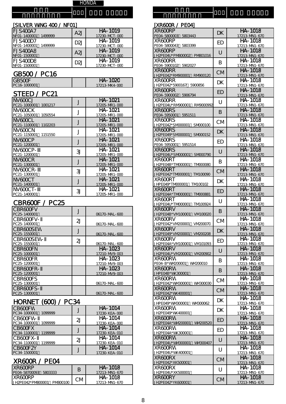H O N D A

| [SILVER WNG 400 / NFO1]                    |     |                          |  |  |  |
|--------------------------------------------|-----|--------------------------|--|--|--|
| <b>FJS400A7</b><br>1499999<br>NF01-1400001 | A2J | HA-1019<br>17230-MCT-000 |  |  |  |
| FJS400D7<br>NF01-1400001<br>1499999        | D2J | HA-1019<br>17230-MCT-000 |  |  |  |
| FJS400A8<br>NF01-1500001                   | A21 | HA-1019<br>17230-MCT-000 |  |  |  |
| FJS400D8<br>NF01-1500001                   | D2I | HA-1019<br>17230-MCT-000 |  |  |  |

### GB500 / PC16

機 種 名

| GB50CF<br>PC16-1000001 | <b>HA-1020</b><br>17213-MK4-000 |
|------------------------|---------------------------------|
| STEED / PC21           |                                 |

| NV 600CJ<br>PC 21-1000001 | 1001217 |    | HA-1021<br>17205-MR1-000 |
|---------------------------|---------|----|--------------------------|
| NV GOOC K<br>PC21-1050001 |         |    | HA-1021                  |
|                           | 1050554 |    | 17205-MR1-000            |
| NV <del>A</del> NCI       |         |    | HA-1021                  |
| PC 21-1100001             | 1102203 |    | 17205-MR1-000            |
| NV 600C N                 |         |    | HA-1021                  |
| PC 21-1150001             | 1151550 |    | 17205-MR1-000            |
| NV GOOC P                 |         |    | HA-1021                  |
| PC21-1200001              |         |    | 17205-MR1-000            |
| NV600CP-                  |         | 31 | HA-1021                  |
| PC21-1200001              |         |    | 17205-MR1-000            |
| NV GOOC R                 |         |    | HA-1021                  |
| PC 21-1300001             |         |    | 17205-MR1-000            |
| NV GOOC R-                |         | 31 | HA-1021                  |
| PC 21-1300001             |         |    | 17205-MR1-000            |
| NV <del>ANC.T</del>       |         |    | HA-1021                  |
| PC 21-1400001             |         |    | 17205-MR1-000            |
| NVANCT-                   |         | 31 | HA-1021                  |
| PC 21-1400001             |         |    | 17205-MR1-000            |

#### CBR600F / PC25

| <b>CBR600FV</b><br>PC 25-1400001 |    | 06170-MAL-600            |
|----------------------------------|----|--------------------------|
| CBRACCEV-<br>PC 25-1400001       | 2J | 06170-MAL-600            |
| CBRAMSFW<br>PC 25-1550001        |    | 06170-MAL-600            |
| CBRAMSFW-<br>PC 25-1550001       | 2J | 06170-MAL-600            |
| CBRACTEN<br>PC 25-1000001        |    | HA-1023<br>17210-MV9-003 |
| <b>CBR600FR</b><br>PC 25-1200001 |    | HA-1023<br>17210-MV9-003 |
| CBR600FR-<br>PC 25-1200001       |    | HA-1023<br>17210-MV9-003 |
| <b>CBR600FS</b><br>PC 25-1300001 |    | 06170-MAL-600            |
| CBR600FS-<br>PC 25-1300001       |    | 06170-MAL-600            |

#### HORNET (600) / PC34

| <b>CB600FW</b><br>PC34-1000001<br>1099999 |    | HA-1014<br>17230-KEA-000 |
|-------------------------------------------|----|--------------------------|
| CB600FW-<br>PC34-1000001<br>1099999       | 21 | HA-1014<br>17230-KEA-000 |
| CB600FX<br>PC34-1100001<br>1199999        |    | HA-1014<br>17230-KEA-010 |
| CB600FX-<br>PC34-1100001 1199999          | 21 | HA-1014<br>17230-KEA-010 |
| CB6OOF2Y<br>PC 34-1500001                 |    | HA-1014<br>17230-KEA-010 |

#### X R 600R / P E 04

| <b>XR600RP</b>                |    | HA-1018       |
|-------------------------------|----|---------------|
| PE04-58700093<br>5803333      |    | 17213-MN1-670 |
| IXR6OORP                      | CМ | HA-1018       |
| PM800100<br>JH2PE042*PM800001 |    | 17213-MN1-670 |

| [xr600r / Pe04]<br>XR600RP                            | <b>DK</b> | HA-1018                         |
|-------------------------------------------------------|-----------|---------------------------------|
| PE04-5800003 5803443<br>XR6OORP                       | <b>ED</b> | 17213-MN1-670<br>HA-1018        |
| PE04-5800043 5803399<br>XR600RP                       |           | 17213-MN1-670<br>HA-1018        |
| JH2PE04U*PIV800002 PIV801016                          | U         | 17213-MN1-670                   |
| XR6OORR<br>PE04-5900102 5902027                       | B         | HA-1018<br>17213-MN1-670        |
| XR6OORR<br>JH2PE042*RN900001 RN900120                 | <b>CM</b> | HA-1018<br>17213-MN1-670        |
| XR6OORR                                               | DK        | HA-1018                         |
| JH2PE042*5900167 5900856<br>XR6OORR                   | <b>ED</b> | 17213-MN1-670<br>HA-1018        |
| PE04-5900002 5906794<br>XR6OORR                       |           | 17213-MN1-670<br>HA-1018        |
| JH2PE04 <u>U*RN900001 RN9000992</u><br><b>XR6OORS</b> | U         | 17213-MN1-670<br>$HA - 1018$    |
| PE04-5950001 5951511                                  | B         | 17213-MN1-670                   |
| <b>XR6OORS</b><br>JH2PE042*SM000001 SM000100          | <b>CM</b> | HA-1018<br>17213-MN1-670        |
| <b>XRAMRS</b><br>JH2PE049*SM000001 SM000152           | DK        | $HA - 1018$<br>17213-MN1-670    |
| <b>XR6OORS</b>                                        | <b>ED</b> | $HA - 1018$                     |
| PE04-5950001 5951514<br>XR600RS                       | U         | 17213-MN1-670<br><b>HA-1018</b> |
| JH2PE04U*SM000001 SM000790<br>XR6OORT                 |           | 17213-MN1-670<br>HA-1018        |
| JH2PE04B*TM000001 TM000080<br>XR6OORT                 | B         | 17213-MN1-670<br>HA-1018        |
| JH2PE042*TM000001 TM100090                            | <b>CM</b> | 17213-MN1-670                   |
| XR6OORT<br>JHPE049*TM000001 TM100102                  | <b>DK</b> | HA-1018<br>17213-MN1-670        |
| XR6OORT<br>JH2PE04A*TM000001 TM000881                 | <b>ED</b> | HA-1018<br>17213-MN1-670        |
| XR6OORT<br>JH2PE04U*TM000001 TM100924                 | U         | HA-1018                         |
| XR600RV                                               | B         | 17213-M1-670<br>$HA - 1018$     |
| JH2PE04B*VM100001 VM100020<br>XR600RV                 | СM        | 17213-MN1-670<br>HA-1018        |
| <u>JH2PE042*VM200001 VM200070</u><br>XR6OORV          |           | 17213-MN1-670<br>HA-1018        |
| JH2PE049*VM200001 VM200208<br>XR6OORV                 | <b>DK</b> | 17213-MN1-670<br>HA-1018        |
| JH2PE04A*VM100001 VM101093                            | <b>ED</b> | 17213-MN1-670                   |
| <b>XR600RV</b><br>JH2PE04U*VN200001 VN200902          | U         | HA-1018<br>17213-MN1-670        |
| XR6OORW<br>PE04-B*WV200001 WV200010                   | B         | HA-1018<br>17213-MN1-670        |
| XR600RW<br>JHPEO4B*WK300001                           | B         | HA-1018<br>17213-MN1-670        |
| XR6OORW                                               | <b>CM</b> | $\overline{HA}$ -1018           |
| JH2PE042*WV300001 WV30003C<br>XR600RW                 | <b>CM</b> | 17213-MN1-670<br>$HA - 1018$    |
| JH2PE042*WK400001<br>XR6OORW                          |           | 17213-M1-670<br>HA-1018         |
| JHPE049*WV300001 WV300062<br>XR6OORW                  | DK        | 17213-MN1-670<br>HA-1018        |
| JH2PE049*WK400001                                     | DK        | 17213-MN1-670                   |
| XR6OORW<br>JH2PE04A*WV200001 WV200520                 | <b>ED</b> | <b>HA-1018</b><br>17213-MN1-670 |
| XR6OORW<br>JH2PE04A*WK300001                          | ED        | HA-1018<br>17213-MN1-670        |
| XR6OORW<br>JH2PE04U*WV300001 WV300407                 | U         | HA-1018<br>17213-MN1-670        |
| XR6OORW                                               | U         | HA-1018                         |
| JH2PE04U*WK400001<br>XR6OORX                          | <b>CM</b> | 17213-MN1-670<br>HA-1018        |
| JH2PE042*XK500001<br>XR6OORX                          |           | 17213-M1-670<br>HA-1018         |
| JH2PEO4U*XK500001<br>XR600RY                          | U         | 17213-MN1-670<br>HA-1018        |
| JH2PE042*YK600001                                     | <b>CM</b> | 17213-MN1-670                   |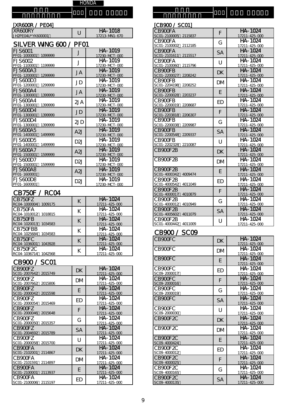| [XR600R / PEO4]              |                          |
|------------------------------|--------------------------|
| IXRAMRY<br>UH2PE04U*YK600001 | HA-1018<br>17213-MN1-670 |

| SILVER WING 600 / PFO1 |  |  |
|------------------------|--|--|
|                        |  |  |

機 種 名

| FJS60C1<br>1099999<br>PF01-1000001         | J    | HA-1019<br>17230-MCT-000 |
|--------------------------------------------|------|--------------------------|
| FJS60C2<br>1199999<br>PF01-1100001         | J    | HA-1019<br>17230-MCT-000 |
| FJS600A3<br>PF01-1200001<br>1299999        | JA   | HA-1019<br>17230-MCT-000 |
| FJS600D3<br>1299999<br>PF01-1200001        | JD   | HA-1019<br>17230-MCT-000 |
| EJS600A4<br>1399999<br>PF01-1300001        | JA   | HA-1019<br>17230-MCT-000 |
| <b>FJS600A4</b><br>PF01-1300001<br>1399999 | 2J A | HA-1019<br>17230-MCT-000 |
| FJS600D4<br>1399999<br>PF01-1300001        | JD   | HA-1019<br>17230-MCT-000 |
| FJS600D4<br>PF01-1300001<br>1399999        | 2JD  | HA-1019<br>17230-MCT-000 |
| FJS600A5<br>1499999<br>PF01-1400001        | A2J  | HA-1019<br>17230-MCT-000 |
| <b>FJS600D5</b><br>1499999<br>PF01-1400001 | D2J  | HA-1019<br>17230-MCT-000 |
| FJS600A7<br>PF01-1500001<br>1599999        | A2J  | HA-1019<br>17230-MCT-000 |
| EJS600D7<br>PF01-1500001<br>1599999        | D2J  | HA-1019<br>17230-MCT-000 |
| FJS600A8<br>PF01-1600001                   | A2J  | HA-1019<br>17230-MCT-000 |
| FJS600D8<br>PF01-1600001                   | D2J  | HA-1019<br>17230-MCT-000 |

#### CB75OF / RCO4

| CB750FZ<br>RC04-1000004<br>1009175  | К | HA-1024<br>17211-425-000 |
|-------------------------------------|---|--------------------------|
| CB750FA<br>RCO4-1010012 1018815     | К | HA-1024<br>17211-425-000 |
| CB750FB<br>1034583<br>RC04-1020013  | К | HA-1024<br>17211-425-000 |
| CB750FBB<br>RC04-1025684<br>1034583 | К | HA-1024<br>17211-425-000 |
| CB750FC<br>1043928<br>RC04-1036001  |   | HA-1024<br>17211-425-000 |
| CB750F2C<br>1042568<br>RC04-1036714 |   | HA-1024<br>17211-425-000 |

### CB900 / SC01

| CB900FZ<br>SCO1-2007642 2015749    | DK | HA-1024<br>17211-425-000   |
|------------------------------------|----|----------------------------|
| CB900F7<br>SC01-2007662 2015806    | DM | HA - 1024<br>17211-425-000 |
| CB900F7<br>SCO1-2000042 2015598    | E  | HA-1024<br>17211-425-000   |
| CB900F7<br>SCO1-2000054 2015469    | ED | HA-1024<br>17211-425-000   |
| CB900FZ<br>SCO1-2000046 2015648    | F  | HA-1024<br>17211-425-000   |
| CB900FZ<br>SCO1-2000050 2015357    | G  | HA-1024<br>17211-425-000   |
| CB900F7<br>SC01-2004692 2015789    | SА | HA-1024<br>17211-425-000   |
| CB900F7<br>SCO1-2000058 2015700    | U  | HA-1024<br>17211-425-000   |
| CB900FA<br>SC01-2102001<br>2114867 | DK | HA-1024<br>17211-425-000   |
| CB900FA<br>SC01-2101591<br>2114897 | DM | HA-1024<br>17211-425-000   |
| CB900FA<br>SCO1-2100001 2113937    | F  | HA-1024<br>17211-425-000   |
| CB900FA<br>SC01-2100006 2115197    | ED | HA-1024<br>17211-425-000   |

| [CB900 / SC01]                            |           |                          |
|-------------------------------------------|-----------|--------------------------|
| CB900FA                                   | F         | <b>HA-1024</b>           |
| SCO1-2100005 2115837                      |           | 17211-425-000            |
| CB900FA                                   | G         | <b>HA-1024</b>           |
| SC01-2100002 2112185                      |           | 17211-425-000            |
| CB900FA                                   | <b>SA</b> | <b>HA-1024</b>           |
| SC01-2101611 2115517                      |           | 17211-425-000            |
| CB900FA                                   | U         | HA-1024                  |
| SC01-2100060 2115796                      |           | 17211-425-000            |
| <b>CB900FB</b><br>SCO1-2200027<br>2208242 | <b>DK</b> | HA-1024                  |
| CB900FB                                   |           | 17211-425-000<br>HA-1024 |
| SCO1-2204198<br>2208252                   | DM        | 17211-425-000            |
| <b>CB900FB</b>                            | F         | HA-1024                  |
| SCO1-2200028<br>2203237                   |           | 17211-425-000            |
| CB900FB                                   | ED        | HA-1024                  |
| SC01-2200019<br>2208687                   |           | 17211-425-000            |
| <b>CB900FB</b>                            | F         | HA-1024                  |
| SC01-2203818<br>2206307                   |           | 17211-425-000            |
| CB900FB                                   | G         | $H$ A - 1024             |
| SC01-2200038<br>2209987                   |           | 17211-425-000            |
| <b>CB900FB</b>                            | <b>SA</b> | <b>HA-1024</b>           |
| SCO1-2200548<br>2209337                   |           | 17211-425-000<br>HA-1024 |
| CB9OOFB<br>SC01-2202328 2210087           | U         | 17211-425-000            |
| CB900F2B                                  |           | HA-1024                  |
|                                           | <b>DK</b> | 17211-425-000            |
| CB <sub>900</sub> F <sub>2B</sub>         |           | HA-1024                  |
|                                           | DM        | 17211-425-000            |
| CB <sub>9</sub> 00F <sub>2B</sub>         | F.        | HA-1024                  |
| SCO1-4000342<br>4009474                   |           | 17211-425-000            |
| CB900F2B                                  | ED        | HA-1024                  |
| SC01-4000542<br>4011049                   |           | 17211-425-000            |
| CB900F2B                                  | F         | <b>HA-1024</b>           |
| SCO1-4000017<br>4010879                   |           | 17211-425-000            |
| CB900F2B                                  | G         | HA-1024                  |
| SC01-4000012<br>4010949<br>CB900F2B       |           | 17211-425-000<br>HA-1024 |
| SC01-4005602 4011079                      | <b>SA</b> | 17211-425-000            |
| CB900F2B                                  |           | <b>HA-1024</b>           |
| SCO1-4000442 4011009                      | U         | 17211-425-000            |
|                                           |           |                          |

# CB900 / SCO9

in di 種 名

| CB900FC                  | <b>DK</b> | HA-1024<br>17211-425-000 |
|--------------------------|-----------|--------------------------|
| CB900FC                  | DM        | HA-1024<br>17211-425-000 |
| CB900FC                  | E         | HA-1024<br>17211-425-000 |
| CB900FC<br>SC09-2000017  | ED        | HA-1024<br>17211-425-000 |
| CB900FC<br>SCO9-2000016  | F         | HA-1024<br>17211-425-000 |
| CB900FC<br>SC09-2000019  | G         | HA-1024<br>17211-425-000 |
| CB900FC                  | <b>SA</b> | HA-1024<br>17211-425-000 |
| CB900FC<br>SC09-2000030  | U         | HA-1024<br>17211-425-000 |
| CB900F2C                 | <b>DK</b> | HA-1024<br>17211-425-000 |
| CB900F2C                 | DM        | HA-1024<br>17211-425-000 |
| CB900F2C<br>SC09-4000424 | E         | HA-1024<br>17211-425-000 |
| CB900F2C<br>SC09-4000012 | ED        | HA-1024<br>17211-425-000 |
| CB900F2C<br>SC09-4000025 | F         | HA-1024<br>17211-425-000 |
| CB900F2C<br>SC09-4000165 | G         | HA-1024<br>17211-425-000 |
| CB900F2C<br>SC09-4000135 | <b>SA</b> | HA-1024<br>17211-425-000 |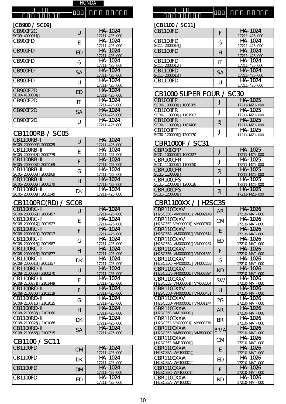#### [CB900 / SC09] [CB1100 / SC11]

| CB900F2C<br>SC09-4000011          | U         | HA-1024<br>17211-425-000       | CB1100FD                                             | F                      | HA-1024<br>17211-425-000                        |
|-----------------------------------|-----------|--------------------------------|------------------------------------------------------|------------------------|-------------------------------------------------|
| CB900FD                           | E         | HA-1024<br>17211-425-000       | CB1100FD<br>SC11-2000016                             | G                      | HA-1024<br>17211-425-000                        |
| CB900FD                           | ED        | HA-1024<br>17211-425-000       | CB1100FD                                             | H                      | HA-1024<br>17211-425-000                        |
| CB900FD                           | G         | HA-1024<br>17211-425-000       | CB1100FD<br>SC11-2000017                             | $\mathsf{I}\mathsf{T}$ | HA-1024<br>17211-425-000                        |
| CB900FD                           | <b>SA</b> | HA-1024<br>17211-425-000       | CB1100FD<br>SC11-2000018                             | <b>SA</b>              | HA-1024<br>17211-425-000                        |
| CB900FD                           | U         | HA-1024<br>17211-425-000       | CB1100FD                                             |                        | HA-1024<br>17211-425-000                        |
| CB900F2D<br>SC09-4100001          | <b>ED</b> | HA-1024<br>17211-425-000       | CB1000 SUPER FOUR / SC30                             |                        |                                                 |
| CB900F2D                          | IT        | HA-1024<br>17211-425-000       | CB1000FP<br>SC30-1000001<br>1006269                  |                        | HA-1025<br>17211-MZ1-000                        |
| CB <sub>900</sub> F <sub>2D</sub> | <b>SA</b> | HA-1024<br>17211-425-000       | CB <sub>1</sub> 000FR<br>SC30-1100001<br>1101903     |                        | HA-1025<br>17211-MZ1-000                        |
| CB900F2D                          | U         | HA-1024<br>$17211 - 425 - 000$ | CB <sub>1</sub> 000FR<br>$SC30 - 1100001$<br>1101408 | 3J                     | HA-1025<br>$17211 - \mathsf{NP}1 - \mathsf{CP}$ |

# CB1100RB / SC05

| CB1100RB-<br>SC05-2000009 2000029      |    | HA-1024<br>17211-425-000 | <b>CBR1000F / SC31</b>               |    |                                                           |
|----------------------------------------|----|--------------------------|--------------------------------------|----|-----------------------------------------------------------|
| CB1100RB-<br>SC05-2000018 2000779      |    | HA-1024<br>17211-425-000 | CBR1000FP<br>1000327<br>SC31-1000001 |    | HA-1025<br>17211-MZ1-OOC                                  |
| CB1100RB-<br>SC05-2000007 2001169      |    | HA-1024<br>17211-425-000 | CBR1000FR<br>1100050<br>SC31-1100001 |    | HA-1025<br>$17211 - \mathsf{N}21 - \mathsf{O}00$          |
| CB1100RB-<br>SC05-2000008 2000969      | G  | HA-1024<br>17211-425-000 | CBR1000FR<br>SC31-1100001            | 2J | HA-1025<br>$17211 - M21 - O00$                            |
| CB1100RB-<br>SC05-2000006 2000379      |    | HA-1024<br>17211-425-000 | CBR1000FS<br>SC31-1200001<br>1200028 |    | HA-1025<br>17211-MZ1-OOC                                  |
| CB1100RB-<br>$SCO5 - 200009 - 2001249$ | DK | HA-1024<br>17211-425-000 | CBR1000FS<br>$SC31 - 120001$         | 2J | HA-1025<br>$17211 - \mathsf{NP}1 - \mathsf{O}\mathsf{O}1$ |

# CB1100RC(RD) / SC08 CBR1100XX / JH2SC35

| <b>CB1100RC-</b>                  | U         | HA-1024                        | CBR1100XXV                                  | <b>AR</b> | HA-1026                         |
|-----------------------------------|-----------|--------------------------------|---------------------------------------------|-----------|---------------------------------|
| SC08-2000068 2000457<br>CB1100RC- | E         | 17211-425-000<br>HA-1024       | JH2SC35C-VM000001<br>VM002148<br>CBR1100XXV | <b>CM</b> | 17210-MAT-000<br>HA-1026        |
| SC08-2000017 2001927<br>CB1100RC- | F         | 17211-425-000<br>HA-1024       | VM000300<br>JH2SC352-VM000001<br>CBR1100XXV | E         | 17210-MAT-000<br>HA-1026        |
| SC08-2000010 2002017<br>CB1100RC- | G         | $17211 - 425 - 000$<br>HA-1024 | JH2SC35A-VM000001<br>VM009514<br>CBR1100XXV | ED        | 17210-MAT-000<br>HA-1026        |
| SC08-2000013 2001987<br>CB1100RC- | H         | 17211-425-000<br>HA-1024       | VM009287<br>JH2SC35A-VM000001<br>CBR1100XXV | F         | 17210-MAT-000<br>HA-1026        |
| SC08-2000016 2001877<br>CB1100RC- |           | 17211-425-000<br>HA-1024       | JH2SC35B-VM000001<br>VM001569<br>CBR1100XXV |           | 17210-MAT-000<br>HA-1026        |
| SC08-2000018 2001357              | DK        | 17211-425-000                  | VM002226<br>JH2SC35C-VIVOOOO01              | G         | 17210-MAT-000                   |
| CB1100RD-<br>SC08-2100006 2100270 | U         | HA-1024<br>17211-425-000       | CBR1100XXV<br>JH2SC35A-VM000001<br>VM008894 | <b>ND</b> | HA-1026<br>17210-MAT-000        |
| CB1100RD-<br>SC08-2100271 2101449 | E         | HA-1024<br>17211-425-000       | CBR1100XXV<br>VM000504<br>JH2SC35E-VM000001 | <b>SW</b> | HA-1026<br>17210-MAT-000        |
| CB1100RD-<br>SC08-2100306 2102119 | F         | HA-1024<br>17211-425-000       | CBR1100XXV<br>JH2SC35U-VM000001<br>VM000451 | U         | HA-1026<br>17210-MAT-000        |
| CB1100RD-<br>SC08-2100716 2102025 | G         | HA-1024<br>17211-425-000       | CBR1100XXV<br>JH2SC35D-VM000001 VM001144    | 2G        | HA-1026<br>17210-MAT-000        |
| CB1100RD-<br>SC08-2100536 2102060 | H         | HA-1024<br>17211-425-000       | CBR1100XXW<br>JH2SC35F-WV100001             | <b>AR</b> | HA-1026<br>17210-MAT-000        |
| CB1100RD-                         | DK        | HA-1024                        | CBR1100XXW                                  | <b>BR</b> | HA-1026                         |
| SC08-2100326 2101068<br>CB1100RD- | <b>SA</b> | 17211-425-000<br>HA-1024       | VM800230<br>JH2SC353-VM800001<br>CBR1100XXW | BR/A      | 17210-MAT-000<br><b>HA-1026</b> |
| SC08-2100566 2100715              |           | 17211-425-000                  | WV800097<br>JH2SC353-WV800001               |           | 17210-MAT-000                   |

# CB1100 / SC11

| CB110OFD | <b>CM</b> | HA-1024<br>17211-425-000                  | CBR1100XXW<br>JH2SC35A-WV100001 |           | $HA - 1026$<br>17210-MAT-C                |
|----------|-----------|-------------------------------------------|---------------------------------|-----------|-------------------------------------------|
| CB1100FD | DK        | HA-1024                                   | CBR1100XXW<br>JH2SC35A-WV100001 | <b>ED</b> | HA-1026                                   |
| CB1100FD | DM        | 17211-425-000<br>HA-1024<br>17211-425-000 | CBR1100XXW<br>JH2SC35C-WV100001 |           | 17210-MAT-C<br>$HA - 1026$<br>17210-MAT-C |
| CB1100FD | ЕD        | HA-1024<br>17211-425-000                  | CBR1100XXW<br>JH2SC35A-WV100001 | <b>ND</b> | HA-1026<br>17210-MAT-C                    |

# 機種名 機種名 フレームナンバー フレームナンバー タイプ エアー エレメント タイプ エアー エレメント

| U         | HA-1024<br>17211-425-000 | CB1100FD                 |           | HA-1024<br>17211-425-000 |
|-----------|--------------------------|--------------------------|-----------|--------------------------|
| E         | HA-1024<br>17211-425-000 | CB110OFD<br>SC11-2000016 | G         | HA-1024<br>17211-425-000 |
| <b>ED</b> | HA-1024<br>17211-425-000 | CB1100FD                 | H         | HA-1024<br>17211-425-000 |
| G         | HA-1024<br>17211-425-000 | CB1100FD<br>SC11-2000017 |           | HA-1024<br>17211-425-000 |
| SA        | HA-1024<br>17211-425-000 | CB1100FD<br>SC11-2000018 | <b>SA</b> | HA-1024<br>17211-425-000 |
|           | HA-1024<br>17211-425-000 | CB1100FD                 |           | HA-1024<br>17211-425-000 |

# CB1000 SUPER FOUR / SC30

| IT | HA-1024       | CB1000FP                |   | HA-1025                                                   |
|----|---------------|-------------------------|---|-----------------------------------------------------------|
|    | 17211-425-000 | SC30-1000001<br>1006269 |   | $17211 - \mathsf{W} 1 - \mathsf{O} 00$                    |
| SA | HA-1024       | CB1000FR                |   | HA-1025                                                   |
|    | 17211-425-000 | SC30-1100001<br>1101903 |   | $17211 - \mathsf{W} 1 - \mathsf{O} 00$                    |
|    | HA-1024       | CB1000FR                | 3 | HA-1025                                                   |
|    | 17211-425-000 | SC30-1100001<br>1101408 |   | 17211-MZ1-OOC                                             |
|    |               | CB1000FT                |   | HA-1025                                                   |
|    |               | SC30-1200001<br>1200170 |   | $17211 - \mathsf{W}Z1 - \mathsf{O} \mathsf{O} \mathsf{C}$ |

# CBR1000F / SC31

| CB1100RB-               |    | HA-1024       | CBR1000FP               |                | HA-1025                               |
|-------------------------|----|---------------|-------------------------|----------------|---------------------------------------|
| SC05-2000018<br>2000779 |    | 17211-425-000 | SC31-1000001<br>1000327 |                | 17211-MZ1-000                         |
| CB1100RB-               |    | HA-1024       | CBR1000FR               |                | HA-1025                               |
| SC05-2000007<br>2001169 |    | 17211-425-000 | 1100050<br>SC31-1100001 |                | 17211-MZ1-OOC                         |
| CB1100RB-               | G  | HA-1024       | CBR1000FR               |                | HA-1025                               |
| SC05-2000008<br>2000969 |    | 17211-425-000 | SC31-1100001            |                | $17211 - \mathsf{WZ}1 - \mathsf{OOC}$ |
| CB1100RB-               |    | HA-1024       | CBR1000FS               |                | HA-1025                               |
| SC05-2000006<br>2000379 |    | 17211-425-000 | 1200028<br>SC31-1200001 |                | 17211-MZ1-OOC                         |
| CB1100RB-               | DK | HA-1024       | CBR1000FS               | $\overline{2}$ | HA-1025                               |
| SC05-2000009<br>2001249 |    | 17211-425-000 | SC31-1200001            |                | $17211 - \mathsf{WZ}1 - \mathsf{OOC}$ |

| $\cup$    | HA-1024<br>17211-425-000 | CBR1100XXV<br>VMO02148<br>JH2SC35C-VM000001 | <b>AR</b> | HA-1026<br>17210-MAT-000        |
|-----------|--------------------------|---------------------------------------------|-----------|---------------------------------|
| E         | HA-1024<br>17211-425-000 | CBR1100XXV<br>VM000300<br>JH2SC352-VM000001 | <b>CM</b> | HA-1026<br>17210-MAT-000        |
| F         | HA-1024<br>17211-425-000 | CBR1100XXV<br>VM009514<br>JH2SC35A-VM000001 | E         | HA-1026<br>17210-MAT-000        |
| G         | HA-1024<br>17211-425-000 | CBR1100XXV<br>VM009287<br>JH2SC35A-VM000001 | ED        | HA-1026<br>17210-MAT-000        |
| H         | HA-1024<br>17211-425-000 | CBR1100XXV<br>VM001569<br>JH2SC35B-VM000001 | F         | HA-1026<br>17210-MAT-000        |
| DK        | HA-1024<br>17211-425-000 | CBR1100XXV<br>VM002226<br>JH2SC35C-VM000001 | G         | HA-1026<br>17210-MAT-000        |
| U         | HA-1024<br>17211-425-000 | CBR1100XXV<br>VM008894<br>JH2SC35A-VM000001 | <b>ND</b> | HA-1026<br>17210-MAT-000        |
| E         | HA-1024<br>17211-425-000 | CBR1100XXV<br>VM000504<br>JH2SC35E-VM000001 | <b>SW</b> | HA-1026<br>17210-MAT-000        |
| F         | HA-1024<br>17211-425-000 | CBR1100XXV<br>VM000451<br>JH2SC35U-VM000001 | U         | HA-1026<br>17210-MAT-000        |
| G         | HA-1024<br>17211-425-000 | CBR1100XXV<br>JH2SC35D-VM000001<br>VM001144 | 2G        | <b>HA-1026</b><br>17210-MAT-000 |
| H         | HA-1024<br>17211-425-000 | CBR1100XXW<br>JH2SC35F-WV100001             | <b>AR</b> | HA-1026<br>17210-MAT-000        |
| DK        | HA-1024<br>17211-425-000 | CBR1100XXW<br>JH2SC353-VM800001<br>VM800230 | <b>BR</b> | HA-1026<br>17210-MAT-000        |
| <b>SA</b> | HA-1024<br>17211-425-000 | CBR1100XXW<br>WV800097<br>JH2SC353-WV800001 | BR/A      | HA-1026<br>17210-MAT-000        |
|           |                          | CBR1100XXW<br>JH2SC352-WV100001             | <b>CM</b> | HA-1026<br>17210-MAT-000        |
| <b>CM</b> | HA-1024<br>17211-425-000 | CBR1100XXW<br>JH2SC35A-WV100001             | E         | HA-1026<br>17210-MAT-000        |
| DK        | HA-1024<br>17211-425-000 | CBR1100XXW<br>JH2SC35A-WV100001             | ED        | HA-1026<br>17210-MAT-000        |
| DM        | HA-1024<br>17211-425-000 | CBR1100XXW<br>JH2SC35C-WV100001             | F         | HA-1026<br>17210-MAT-000        |
| <b>ED</b> | HA-1024<br>17211-425-000 | CBR1100XXW<br>JH2SC35A-WV100001             | <b>ND</b> | HA-1026<br>17210-MAT-000        |
|           |                          |                                             |           |                                 |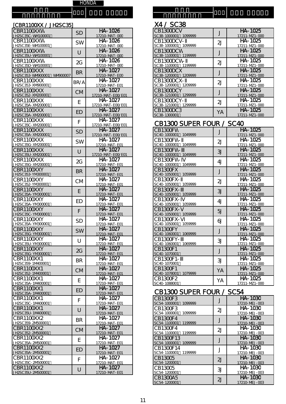| [CBR1100XX / JH2SC35]                    |           |                              | X4 / SC38                                |                |                                 |
|------------------------------------------|-----------|------------------------------|------------------------------------------|----------------|---------------------------------|
| CBR1100XXW<br>JH2SC35C-WV100001          | <b>SD</b> | HA-1026<br>17210-MAT-000     | CB1300DCV<br>SC38-1000001 1099999        | J              | <b>HA-1025</b><br>17211-MZ1-000 |
| CBR1100XXW                               | <b>SW</b> | HA-1026                      | CB1300DCV-<br>SC38-1000001 1099999       | 2J             | HA-1025                         |
| <u>JH2SC35E-WV100001</u><br>CBR1100XXW   | $\cup$    | 17210-MAT-000<br>HA-1026     | CB1300DCW                                | J              | 17211-MZ1-000<br>HA-1025        |
| JH2SC35U-WV100001<br>CBR1100XXW          | 2G        | 17210-MAT-000<br>HA-1026     | SC38-1100001 1199999<br>CB1300DCW-       | 2J             | 17211-MZ1-000<br>HA-1025        |
| JH2SC35D-WV100001<br>CBR1100XXX          |           | 17210-MAT-000<br>HA-1027     | SC38-1100001 1199999<br>CB1300DCX        |                | 17211-MZ1-000<br>HA-1025        |
| JH2SC353-WV900001 WV900007<br>CBR1100XXX | <b>BR</b> | 17210-MAT-EOO<br>HA-1027     | SC38-1200001 1209999<br>CB1300DCX-       | J              | 17211-MZ1-000<br>HA-1025        |
| <u>JH2SC353-XM900001</u>                 | BR/A      | 17210-MAT-E01                | SC38-1200001 1209999                     | 2J             | 17211-MZ1-000                   |
| CBR1100XXX<br>JH2SC352-XM200001          | <b>CM</b> | HA-1027<br>17210-MAT-E00/E01 | CB1300DCY<br>SC38-1210001 1299999        | J              | HA-1025<br>17211-MZ1-000        |
| CBR1100XXX<br>JH2SC35A-XM200001          | E         | HA-1027<br>17210-MAT-E00/E01 | CB1300DCY-<br>SC38-1210001 1299999       | 2J             | HA-1025<br>17211-MZ1-000        |
| CBR1100XXX<br>JH2SC35A-XM200001          | <b>ED</b> | HA-1027<br>17210-MAT-EOO/EO1 | CB1300DC3<br>SC38-1300001                | YA             | HA-1025<br>17211-MZ1-000        |
| CBR1100XXX                               | F         | $HA - 1027$                  | CB1300 SUPER FOUR / SC40                 |                |                                 |
| JH2SC35C-XIV200001<br>CBR1100XXX         | <b>SD</b> | 17210-MAT-E00/E01<br>HA-1027 | CB1300FW                                 | J              | HA-1025                         |
| JH2SC35A-XM200001<br>CBR1100XXX          | <b>SW</b> | 17210-MAT-E00/E01<br>HA-1027 | SC40-1000001 1049999<br>CB1300FW-        | 2J             | 17211-MZ1-000<br>HA-1025        |
| JH2SC35G-XIV200001<br>CBR1100XXX         |           | 17210-MAT-E01<br>HA-1027     | SC40-1000001 1049999<br>CB1300FW-        |                | 17211-MZ1-000<br>HA-1025        |
| <u>JH2SC35U-XIV200001</u>                | $\cup$    | 17210-MAT-E00/E01            | SC40-1000001 1049999                     | 3J             | 17211-MZ1-000                   |
| CBR1100XXX<br><u>JH2SC35G-XIV200001</u>  | 2G        | HA-1027<br>17210-MAT-E01     | CB1300FW-<br>SC40-1000001 1049999        | 4 <sub>J</sub> | HA-1025<br>17211-MZ1-000        |
| CBR1100XXY<br><u>JH2SC353-YN300001</u>   | <b>BR</b> | HA-1027<br>17210-MAT-E01     | CB1300FX<br>SC40-1050001 1059999         | J              | HA-1025<br>17211-MZ1-000        |
| CBR1100XXY<br><u>JH2SC352-YN300001</u>   | <b>CM</b> | HA-1027<br>17210-MAT-E01     | CB1300FX-<br>SC40-1050001 1059999        | 2J             | HA-1025<br>17211-MZ1-000        |
| CBR1100XXY                               | E         | HA-1027                      | <b>CB1300FX-</b><br>SC40-1050001 1059999 | 3J             | HA-1025                         |
| <u>JH2SC35A-YN300001</u><br>CBR1100XXY   | <b>ED</b> | 17210-MAT-E01<br>HA-1027     | CB1300FX-                                | 4 <sub>J</sub> | 17211-MZ1-000<br>HA-1025        |
| <u>JH2SC35A-YM300001</u><br>CBR1100XXY   | F         | 17210-MAT-E01<br>HA-1027     | SC40-1050001 1059999<br>CB1300FX-        | 5J             | 17211-MZ1-000<br>HA-1025        |
| JH2SC35C-YM300001<br>CBR1100XXY          |           | 17210-MAT-E01<br>HA-1027     | SC40-1050001 1059999<br>CB1300FX-        |                | 17211-MZ1-000<br>HA-1025        |
| JH2SC35A-YM300001<br>CBR1100XXY          | <b>SD</b> | 17210-MAT-E01<br>HA-1027     | SC40-1050001 1059999<br>CB1300FY         | 6              | 17211-MZ1-000<br>HA-1025        |
| JH2SC35G-YN300001                        | <b>SW</b> | 17210-MAT-E01                | SC40-1060001 1069999                     | J              | 17211-MZ1-000                   |
| CBR1100XXY<br>JH2SC35U-YM300001          | U         | HA-1027<br>17210-MAT-E01     | CB1300FY-<br>SC40-1060001 1069999        | 31             | HA-1025<br>17211-MZ1-OO         |
| CBR1100XXY<br>JH2SC35G-YN300001          | 2G        | HA-1027<br>17210-MAT-E01     | CB1300F1<br>SC40-1070001                 | J              | HA-1025<br>17211-MZ1-000        |
| CBR1100XX1<br>JH2SC359-1M400001          | <b>BR</b> | HA-1027<br>17210-MAT-E01     | CB1300F1-<br>SC40-1070001                | 31             | $HA - 1025$<br>17211-MZ1-000    |
| CBR1100XX1                               | <b>CM</b> | HA-1027                      | CB1300F1<br>SC40-1078001 1079999         | YA             | HA-1025                         |
| JH2SC352-1N400001<br>CBR1100XX1          | E         | 17210-MAT-E01<br>HA-1027     | CB1300F2                                 | YA             | 17211-MZ1-000<br>HA-1025        |
| JH2SC35A-1N400001<br>CBR1100XX1          | <b>ED</b> | 17210-MAT-E01<br>HA-1027     | SC40-1088001                             |                | 17211-MZ1-OO                    |
| JH2SC35A-1N400001<br>CBR1100XX1          |           | 17210-MAT-E01<br>HA-1027     | CB1300 SUPER FOUR / SC54<br>CB1300F3     |                | <b>HA-1030</b>                  |
| <u>JH2SC35C-1N400001</u><br>CBR1100XX1   | F         | 17210-MAT-E01<br>HA-1027     | SC54-1000001 1099999<br>CB1300F3         | J              | 17210-MEJ-003<br><b>HA-1030</b> |
| JH2SC35U-1N400001                        | $\cup$    | 17210-MAT-E01                | 1099999<br>SC54-1000001                  | 2J             | 17210-MEJ-003                   |
| CBR1100XX2<br><u>JH2SC359-2IV500001</u>  | <b>BR</b> | HA-1027<br>17210-MAT-E01     | CB1300F4<br>SC54-1100001 1199999         | J              | <b>HA-1030</b><br>17210-MEJ-003 |
| CBR1100XX2<br>JH2SC352-2N500001          | <b>CM</b> | HA-1027<br>17210-MAT-E01     | CB1300F4<br>SC54-1100001 1199999         | 2J             | HA-1030<br>17210-MEJ-003        |
| CBR1100XX2<br><u>JH2SC35A-2IV500001</u>  | E         | HA-1027<br>17210-MAT-E01     | CB1300F13<br>SC54-1000001 1099999        | J              | HA-1030<br>17210-MEJ-003        |
| CBR1100XX2                               | <b>ED</b> | HA-1027                      | CB1300F14                                | J              | HA-1030                         |
| JH2SC35A-2N500001<br>CBR1100XX2          | F         | 17210-MAT-E01<br>HA-1027     | SC54-1100001 1199999<br>CB13005          | 2J             | 17210-MEJ-003<br><b>HA-1030</b> |
| JH2SC35C-2M500001<br><b>CBR1100XX2</b>   | $\cup$    | 17210-MAT-E01<br>HA-1027     | SC54-1200001<br>CB13005                  | 3J             | 17210-MEJ-003<br>HA-1030        |
|                                          |           |                              |                                          |                |                                 |

|                    | HONDA |                     |  |  |
|--------------------|-------|---------------------|--|--|
|                    |       |                     |  |  |
| <b>DESCRIPTION</b> |       | $V$ $I$ $C$ $O$ $O$ |  |  |

#### <u>(X4 / SC38</u>

| <b>SD</b> | HA-1026           | CB1300DCV               |    | HA-1025       |
|-----------|-------------------|-------------------------|----|---------------|
|           | 17210-MAT-000     | SC38-1000001 1099999    |    | 17211-MZ1-000 |
| <b>SW</b> | HA-1026           | CB1300DCV-              | 2J | HA-1025       |
|           | 17210-MAT-000     | SC38-1000001<br>1099999 |    | 17211-MZ1-000 |
|           | HA-1026           | CB1300DCW               |    | HA-1025       |
|           | 17210-MAT-000     | SC38-1100001 1199999    |    | 17211-MZ1-000 |
| 2G        | HA-1026           | CB1300DCW-              | 2J | HA-1025       |
|           | 17210-MAT-000     | SC38-1100001<br>1199999 |    | 17211-MZ1-000 |
| <b>BR</b> | HA-1027           | CB1300DCX               |    | HA-1025       |
|           | 17210-MAT-EOO     | SC38-1200001 1209999    |    | 17211-MZ1-000 |
| BR/A      | HA-1027           | CB1300DCX-              | 2J | HA-1025       |
|           | 17210-MAT-E01     | SC38-1200001 1209999    |    | 17211-MZ1-000 |
| <b>CM</b> | HA-1027           | CB1300DCY               |    | HA-1025       |
|           | 17210-MAT-E00/E01 | SC38-1210001<br>1299999 |    | 17211-MZ1-000 |
| E         | HA-1027           | CB1300DCY-              | 2J | HA-1025       |
|           | 17210-MAT-EOO/EO1 | SC38-1210001<br>1299999 |    | 17211-MZ1-000 |
| ED        | HA-1027           | CB1300DC3               | YA | HA-1025       |
|           | 17210-MAT-E00/E01 | SC38-1300001            |    | 17211-MZ1-000 |

# CB1300 SUPER FOUR / SC40

| <b>SD</b> | HA-1027           | CB1300FW                | J  | HA-1025       |
|-----------|-------------------|-------------------------|----|---------------|
|           | 17210-MAT-EOO/EO1 | SC40-1000001 1049999    |    | 17211-MZ1-000 |
| SW        | HA-1027           | CB1300FW-               | 2J | HA-1025       |
|           | 17210-MAT-E01     | SC40-1000001 1049999    |    | 17211-MZ1-000 |
| $\cup$    | HA-1027           | CB1300FW-               | 3J | HA-1025       |
|           | 17210-MAT-EOO/EO1 | SC40-1000001 1049999    |    | 17211-MZ1-000 |
| 2G        | HA-1027           | CB1300FW-               | 4J | HA-1025       |
|           | 17210-MAT-E01     | SC40-1000001 1049999    |    | 17211-MZ1-000 |
| <b>BR</b> | HA-1027           | CB1300FX                | J  | HA-1025       |
|           | 17210-MAT-E01     | SC40-1050001 1059999    |    | 17211-MZ1-000 |
| СM        | HA-1027           | CB1300FX-               | 2J | HA-1025       |
|           | 17210-MAT-E01     | SC40-1050001 1059999    |    | 17211-MZ1-000 |
| E         | HA-1027           | CB1300FX-               | 3J | HA-1025       |
|           | 17210-MAT-E01     | SC40-1050001 1059999    |    | 17211-MZ1-000 |
| ED        | HA-1027           | CB1300FX-               | 4J | HA-1025       |
|           | 17210-MAT-E01     | SC40-1050001 1059999    |    | 17211-MZ1-000 |
| F         | HA-1027           | CB1300FX-               | 5J | HA-1025       |
|           | 17210-MAT-E01     | SC40-1050001 1059999    |    | 17211-MZ1-000 |
| <b>SD</b> | HA-1027           | CB1300FX-               | 61 | HA-1025       |
|           | 17210-MAT-E01     | 1059999<br>SC40-1050001 |    | 17211-MZ1-000 |
| <b>SW</b> | HA-1027           | CB1300FY                | J  | HA-1025       |
|           | 17210-MAT-E01     | SC40-1060001 1069999    |    | 17211-MZ1-000 |
| U         | HA-1027           | CB1300FY-               | 31 | HA-1025       |
|           | 17210-MAT-E01     | SC40-1060001 1069999    |    | 17211-MZ1-000 |
| 2G        | HA-1027           | CB1300F1                | J  | HA-1025       |
|           | 17210-MAT-E01     | SC40-1070001            |    | 17211-MZ1-000 |
| BR        | HA-1027           | CB1300F1-               | 31 | HA-1025       |
|           | 17210-MAT-E01     | SC40-1070001            |    | 17211-MZ1-000 |
| <b>CM</b> | HA-1027           | CB1300F1                | YA | HA-1025       |
|           | 17210-MAT-E01     | SC40-1078001<br>1079999 |    | 17211-MZ1-000 |
| E         | HA-1027           | CB1300F2                | YA | HA-1025       |
|           | 17210-MAT-E01     | SC40-1088001            |    | 17211-MZ1-000 |

# CB1300 SUPER FOUR / SC54

| CBR1100XX1        | F         | HA-1027       | <b>CB1300F3</b> |         |                | <b>HA-1030</b> |
|-------------------|-----------|---------------|-----------------|---------|----------------|----------------|
| JH2SC35C-1N400001 |           | 17210-MAT-E01 | SC54-1000001    | 1099999 |                | 17210-MEJ-003  |
| CBR1100XX1        | U         | HA-1027       | CB1300F3        |         | $\overline{2}$ | <b>HA-1030</b> |
| JH2SC35U-1N400001 |           | 17210-MAT-E01 | SC54-1000001    | 1099999 |                | 17210-MEJ-003  |
| CBR1100XX2        | <b>BR</b> | HA-1027       | CB1300F4        |         |                | <b>HA-1030</b> |
| JH2SC359-2M500001 |           | 17210-MAT-E01 | SC54-1100001    | 1199999 |                | 17210-MEJ-003  |
| CBR1100XX2        | <b>CM</b> | HA-1027       | CB1300F4        |         | $\overline{2}$ | <b>HA-1030</b> |
| JH2SC352-2M500001 |           | 17210-MAT-E01 | SC54-1100001    | 1199999 |                | 17210-MEJ-003  |
| CBR1100XX2        |           | HA-1027       | CB1300F13       |         |                | <b>HA-1030</b> |
| JH2SC35A-2M500001 |           | 17210-MAT-E01 | SC54-1000001    | 1099999 |                | 17210-MEJ-003  |
| CBR1100XX2        | <b>ED</b> | HA-1027       | CB1300F14       |         |                | <b>HA-1030</b> |
| JH2SC35A-2M500001 |           | 17210-MAT-E01 | SC54-1100001    | 1199999 |                | 17210-MEJ-003  |
| CBR1100XX2        |           | HA-1027       | CB13005         |         | 2 <sub>l</sub> | <b>HA-1030</b> |
| JH2SC35C-2M500001 |           | 17210-MAT-E01 | SC54-1200001    |         |                | 17210-MEJ-003  |
| CBR1100XX2        | U         | HA-1027       | CB13005         |         | 31             | <b>HA-1030</b> |
| JH2SC35U-2M500001 |           | 17210-MAT-E01 | SC54-1200001    |         |                | 17210-MEJ-003  |
|                   |           |               | ICB1300A5       |         | 2J             | <b>HA-1030</b> |
|                   |           |               | SC54-1200001    |         |                | 17210-MEJ-003  |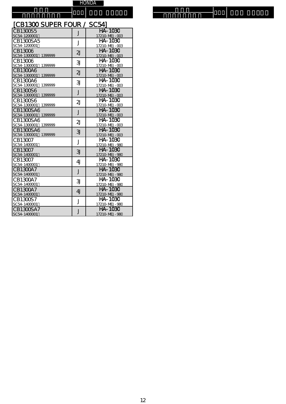機種名 機種名

フレームナンバー フレームナンバー タイプ エアー エレメント タイプ エアー エレメント

# [CB1300 SUPER FOUR / SC54]

| CB1300S5                            | J                       | HA-1030                         |
|-------------------------------------|-------------------------|---------------------------------|
| SC54-1200001                        |                         | 17210-MEJ-003                   |
| CB1300SA5                           | J                       | HA-1030                         |
| SC54-1200001                        |                         | 17210-MEJ-003                   |
| CB130C6                             | $\overline{2}$          | HA-1030                         |
| SC54-1300001<br>1399999             |                         | 17210-MEJ-003                   |
| CB13006                             | 31                      | HA-1030                         |
| SC54-1300001<br>1399999             |                         | 17210-MEJ-003                   |
| CB1300A6<br>SC54-1300001<br>1399999 | 2J                      | HA-1030<br>17210-MEJ-003        |
|                                     |                         |                                 |
| CB1300A6<br>SC54-1300001<br>1399999 | 31                      | HA-1030<br>17210-MEJ-003        |
|                                     |                         | HA-1030                         |
| CB1300S6                            | J                       |                                 |
| SC54-1300001<br>1399999             |                         | 17210-MEJ-003                   |
| CB1300S6                            | $\overline{2}$          | HA-1030                         |
| SC54-1300001<br>1399999             |                         | 17210-MEJ-003                   |
| CB1300SA6<br>SC54-1300001 1399999   | J                       | <b>HA-1030</b><br>17210-MEJ-003 |
| CB1300SA6                           |                         | HA-1030                         |
| SC54-1300001 1399999                | $\overline{2}$ J        | 17210-MEJ-003                   |
| CB1300SA6                           |                         | HA-1030                         |
| SC54-1300001 1399999                | 31                      | 17210-MEJ-003                   |
| CB130C7                             |                         | HA-1030                         |
| SC54-1400001                        | J                       | 17210-MEJ-980                   |
| CB130C7                             |                         | <b>HA-1030</b>                  |
| SC54-1400001                        | 31                      | 17210-MEJ-980                   |
| CB130C7                             | 4 <sub>J</sub>          | HA-1030                         |
| SC54-1400001                        |                         | 17210-MEJ-980                   |
| CB1300A7                            |                         | <b>HA-1030</b>                  |
| SC54-1400001                        | J                       | 17210-MEJ-980                   |
| CB1300A7                            | 31                      | HA-1030                         |
| SC54-1400001                        |                         | 17210-MEJ-980                   |
| CB1300A7                            | 4 <sub>J</sub>          | HA-1030                         |
| SC54-1400001                        |                         | 17210-MEJ-980                   |
| CB1300S7                            | J                       | HA-1030                         |
| SC54-1400001                        |                         | 17210-MEJ-980                   |
| CB1300SA7                           | $\overline{\mathsf{J}}$ | HA-1030                         |
| SC54-1400001                        |                         | 17210-MEJ-980                   |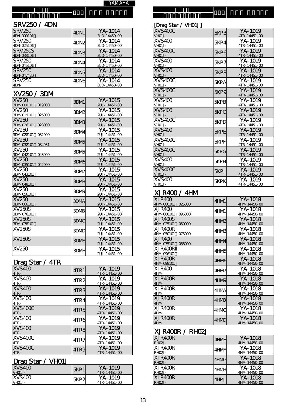YA M A H A

# ー SRV 250 / 4DN

フ レ 機 種 名

> ム ナ ン バ ー

| <b>SRV25C</b><br>4DN-000101  | 4DN1             | $YA - 1014$<br>3LD-14450-00 |
|------------------------------|------------------|-----------------------------|
| <b>SRV25C</b><br>4DN-025101  | 4DN <sub>2</sub> | $YA - 1014$<br>3LD-14450-00 |
| <b>SRV250S</b><br>4DN-038101 | 4DN3             | $YA - 1014$<br>3LD-14450-00 |
| SRV25C<br>4DN-045101         | 4DN4             | $YA - 1014$<br>3LD-14450-00 |
| <b>SRV25C</b><br>4DN-047420  | 4DN <sub>5</sub> | $YA - 1014$<br>3LD-14450-00 |
| <b>SRV25C</b><br>4DN-        | 4DN6             | $YA - 1014$<br>3LD-14450-00 |

# X V 2 50 / 3 D M

| XV250<br>3DN-000101 019000                | 3DM1             | YA-1015<br>$2UJ - 14451 - 00$ |
|-------------------------------------------|------------------|-------------------------------|
| XV250<br>3DN-019101<br>026000             | 3DM <sub>2</sub> | YA-1015<br>2UJ-14451-00       |
| XV <sub>250</sub><br>3DN-026101<br>028000 | 3DM <sub>B</sub> | YA-1015<br>2UJ-14451-00       |
| XV250<br>3DN-028101<br>032000             | 3DM4             | YA-1015<br>2UJ-14451-00       |
| XV250<br>3DN-032101<br>034931             | <b>ЗDMБ</b>      | YA-1015<br>$2UJ - 14451 - 00$ |
| XV250<br>3DN-042101 043000                | ЗDM5             | YA-1015<br>2UJ-14451-00       |
| IXV250<br>3DN-035101<br>042000            | 3DM <sub>6</sub> | YA-1015<br>2UJ-14451-00       |
| XV250<br>3DN-043101                       | 3DM7             | YA-1015<br>2UJ-14451-00       |
| XV250<br>3DN-048101                       | 3DM <sub>B</sub> | YA-1015<br>2UJ-14451-00       |
| XV 250<br>3DN-056101                      | 3DM <sub>9</sub> | YA-1015<br>2UJ-14451-00       |
| XV250<br>3DN-066101                       | 3DMA             | YA-1015<br>2UJ-14451-00       |
| <b>XV250S</b><br>3DN-076101               | 3DMB             | YA-1015<br>2UJ-14451-00       |
| XV25OS<br>3DN-078101                      | 3DMC             | $YA - 1015$<br>2UJ-14451-00   |
| XV25OS                                    | 3DMD             | YA-1015<br>2UJ-14451-00       |
| <b>XV250S</b>                             | 3DME             | YA-1015<br>$2UJ - 14451 - 00$ |
| XV250                                     | 3DMF             | YA-1015<br>2UJ-14451-00       |

# Drag Star / 4TR

| - - -              |                  |                         |
|--------------------|------------------|-------------------------|
| XVS40C<br>$4TR -$  | 4TR1             | YA-1019<br>4TR-14451-00 |
| XVS40C<br>$4TR -$  | 4TR <sub>2</sub> | YA-1019<br>4TR-14451-00 |
| XVS40C<br>$4TR -$  | 4TR3             | YA-1019<br>4TR-14451-00 |
| XVS40C<br>$4TR -$  | 4TR4             | YA-1019<br>4TR-14451-00 |
| XVS400C<br>$4TR -$ | 4TR5             | YA-1019<br>4TR-14451-00 |
| XVS40C<br>$4TR -$  | 4TR6             | YA-1019<br>4TR-14451-00 |
| XVS40C<br>$4TR -$  | 4TR8             | YA-1019<br>4TR-14451-00 |
| XVS400C<br>4TR-    | 4TR7             | YA-1019<br>4TR-14451-00 |
| XVS400C<br>$4TR -$ | 4TR9             | YA-1019<br>4TR-14451-00 |

### Drag Star / VHO1J

| -------<br>.          |             |                               |
|-----------------------|-------------|-------------------------------|
| XVS40C<br>$V$ HO1.J-  | ISKP1       | YA-1019<br>$4TR - 14451 - CO$ |
| IXVS40C<br>$V$ HO1.J- | <b>5KP2</b> | YA-1019<br>$4TR - 14451 - CO$ |

| <u>[Drag Star / VH01J]</u> |             |                               |
|----------------------------|-------------|-------------------------------|
| XVS400C<br>VHO1J-          | 5KP3        | YA-1019<br>4TR-14451-00       |
| XVS400<br>VHO1J-           | 5KP4        | YA-1019<br>4TR-14451-00       |
| XVS400C<br>VHO1J-          | 5KP6        | YA-1019<br>$4TR - 14451 - 00$ |
| XVS40C<br>VHO1J-           | <b>5KP7</b> | YA-1019<br>4TR-14451-00       |
| XVS40C<br>VHO1J-           | 5KP8        | YA-1019<br>$4TR - 14451 - 00$ |
| XVS400C<br>VHO1J-          | 5KPA        | YA-1019<br>4TR-14451-00       |
| XVS400C<br>VHO1J-          | 5KP9        | YA-1019<br>4TR-14451-00       |
| XVS40C<br>VHO1J-           | <b>5KPB</b> | YA-1019<br>4TR-14451-00       |
| XVS40C<br>VHO1J-           | <b>5KPC</b> | YA-1019<br>4TR-14451-00       |
| XVS400C<br>VHO1J-          | 5KPD        | YA-1019<br>4TR-14451-00       |
| XVS40C<br>VHO1J-           | <b>5KPE</b> | YA-1019<br>4TR-14451-00       |
| XVS400C<br>VHO1J-          | <b>5KPF</b> | YA-1019<br>4TR-14451-00       |
| XVS400C<br>VHO1J-          | 5KPG        | YA-1019<br>4TR-14451-00       |
| XVS40C<br>VHO1J-           | 5KPH        | YA-1019<br>4TR-14451-00       |
| XVS400C<br>VHO1J-          | <b>5KPJ</b> | YA-1019<br>4TR-14451-00       |
| XVS40C<br>VHO1J-           | 5KPK        | YA-1019<br>4TR-14451-00       |

# **XJR400 / 4HM**

in di 種 名

| XJR40C<br>4HIV-000101 025000    | 4HM1             | YA-1018<br>4HM 14450-00 |
|---------------------------------|------------------|-------------------------|
| XJR40C                          | 4HM1             | YA-1018                 |
| 4HN-088101<br>096000            |                  | 4HM 14450-00            |
| XJR400S<br>4HN-025101<br>050000 | 4HM <sub>2</sub> | YA-1018<br>4HM 14450-00 |
|                                 |                  |                         |
| XJR400R                         | 4HMB             | YA-1018                 |
| 4HN-050101<br>075000            |                  | 4HM 14450-00            |
| XJR40C                          |                  | YA-1018                 |
|                                 | 4HM4             |                         |
| 4HN-075101<br>088000            |                  | 4HM 14450-00            |
| XJR400R                         |                  | YA-1018                 |
| 4HN-096101                      | 4HM <sub>5</sub> | 4HM 14450-00            |
|                                 |                  |                         |
| XJR400R                         | 4HM6             | YA-1018                 |
| 4HN-098101                      |                  | 4HM 14450-00            |
|                                 |                  | YA-1018                 |
| XJR40C                          | 4HM7             |                         |
| 4HM-                            |                  | 4HM 14450-00            |
| XJR400R                         |                  | $YA - 1018$             |
|                                 | 4HM <sub>9</sub> |                         |
| 4HM-                            |                  | 4HM 14450-00            |
| XJR4OOR                         | 4HMA             | YA-1018                 |
| 4HM-                            |                  | 4HM 14450-00            |
| XJR400R                         |                  | YA-1018                 |
|                                 | 4HMB             |                         |
| 4HM-                            |                  | 4HM 14450-00            |
| XJR400R                         |                  | YA-1018                 |
| 4HM-                            | 4HMC             | 4HM 14450-00            |
|                                 |                  |                         |
| XJR4OOR                         | 4HMD             | YA-1018                 |
| 4HM-                            |                  | 4HM 14450-00            |
|                                 |                  |                         |

# X J R 400R / R H 02J

| XJR400R<br><b>RHO2J-</b> | 4HME | $YA - 1018$<br>4HM 14450-00 |
|--------------------------|------|-----------------------------|
| XJR400R<br>RH02J-        | 4HMF | YA-1018<br>4HM 14450-00     |
| XJR400R<br>RH02J-        | 4HMG | YA-1018<br>4HM 14450-00     |
| XJR400R<br><b>RHO2J-</b> | 4HMH | YA-1018<br>4HM 14450-00     |
| XJR400R<br><b>RHO2J-</b> | 4HMJ | $YA - 1018$<br>4HM 14450-00 |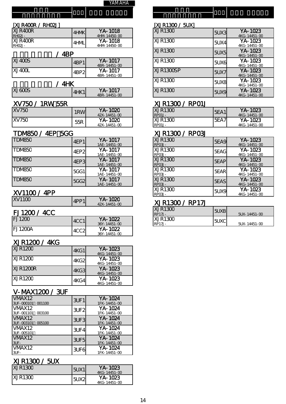| YAMAHA |
|--------|
|--------|

г

| [XJR400R / RH02J]        |                  |                         | [XJR1300 / 5UX] |             |                              |
|--------------------------|------------------|-------------------------|-----------------|-------------|------------------------------|
| XJR400R<br><b>RHO2J-</b> | 4HMK             | YA-1018<br>4HM 14450-00 | XJR130C         | 5UX3        | YA-1023<br>$4KG - 14451 - C$ |
| XJR400R<br><b>RHO2J-</b> | 4HML             | YA-1018<br>4HM 14450-00 | XJR130C         | <b>5UX4</b> | YA-1023<br>$4KG - 14451 - C$ |
|                          | 4BP              |                         | XJR130C         | 5UX5        | YA-1023<br>$4KG - 14451 - C$ |
| XJ400S                   | 4BP1             | YA-1017<br>4BR-14451-00 | <b>XJR1300</b>  | 5UX6        | YA-1023<br>$4KG - 14451 - C$ |
| XJ400L                   | 4BP <sub>2</sub> | YA-1017<br>4BR-14451-00 | XJR1300SP       | <b>5UX7</b> | YA-1023<br>$4KG - 14451 - C$ |
|                          | 4HK              |                         | XJR130C         | 5UX8        | YA-1023<br>$4KG - 14451 - C$ |
| V1400C                   |                  | $V_A$ 1 $M_7$           | VID1200         |             | V A 1002                     |

|       | . |      |                         |
|-------|---|------|-------------------------|
| 1600S |   | AUV1 | YA-1017<br>4BR-14451-00 |
|       |   |      |                         |

# XV750 / 1RW・55R XJR1300 / RP01J

| <b>XV750</b><br>$\sim$ | 1RW | $YA -$<br>1020<br>42X-14451-00         | RPO1J-       | XJR130C        | 5EA<br>$\overline{a}$ | 1023<br>VΔ<br>4KG-14451-0        |
|------------------------|-----|----------------------------------------|--------------|----------------|-----------------------|----------------------------------|
| <b>XV750</b>           | 55R | 1020<br>YA-<br>$14451 - 00$<br>1 O Y - | <b>RPMI.</b> | <b>XJR1300</b> | ᇎ<br>∽⊢<br>OEA,       | 1023<br>VΔ.<br>$AKG - 1AAB1 - 0$ |

# TDM850 / 4EP 5GG XJR1300 / RP03J

| TDM85C              | 4EP1        | YA-1017<br>1AE-14451-00 | XJR130C<br>$RPO3J -$        | <b>5EA9</b> | YA-1023<br>4KG-14451-0 |
|---------------------|-------------|-------------------------|-----------------------------|-------------|------------------------|
| TDMB <sub>5</sub> C | 4EP2        | YA-1017<br>1AE-14451-00 | <b>XJR1300</b><br>$RPO3J -$ | 5EAG        | YA-1023<br>4KG-14451-0 |
| TDMB <sub>5C</sub>  | 4EP3        | YA-1017<br>1AE-14451-00 | XJR130C<br>$RPO3J -$        | <b>5EAP</b> | YA-1023<br>4KG-14451-0 |
| TDMB <sub>5</sub> C | <b>5GG1</b> | YA-1017<br>1AE-14451-00 | <b>XJR130C</b><br>RP03J-    | <b>5EAR</b> | YA-1023<br>4KG-14451-0 |
| TDMB <sub>5C</sub>  | <b>5GG2</b> | YA-1017<br>1AE-14451-00 | XJR130C<br>RPO3J-           | <b>5EAS</b> | YA-1023<br>4KG-14451-0 |

# $XV1100 / 4PP$

| XY110C | /IDD1 | YA-1020<br>$42X - 14451 - 00$ |
|--------|-------|-------------------------------|
|        |       |                               |

# FJ1200 / 4CC

| <b>FJ1200</b>  | 4CC1             | YA-1022<br>$36Y - 14451 - 00$ | XJR130C<br>RP17J- |
|----------------|------------------|-------------------------------|-------------------|
| <b>FJ1200A</b> | 4CC <sub>2</sub> | YA-1022<br>36Y-14451-00       |                   |

# XJR1200 / 4KG

| XJR120C  | 4KG1 | YA-1023<br>$4KG - 14451 - C$ |
|----------|------|------------------------------|
| XJR120C  | 4KG2 | YA-1023<br>4KG-14451-00      |
| XJR1200R | 4KG3 | YA-1023<br>4KG-14451-00      |
| XJR120C  | 4KG4 | YA-1023<br>4KG-14451-00      |

# V-MAX1200 / 3UF

| VMAX <sub>12</sub><br>3UF-000101<br>001100 | 3UF1             | YA-1024<br>1FK-14451-00 |
|--------------------------------------------|------------------|-------------------------|
| VMAX <sub>12</sub><br>3UF-001101<br>003100 | 3UF <sub>2</sub> | YA-1024<br>1FK-14451-00 |
| VMAX <sub>12</sub><br>3UF-003101<br>005100 | 3UF3             | YA-1024<br>1FK-14451-00 |
| VMAX <sub>12</sub><br>3UF-005101           | 3UF4             | YA-1024<br>1FK-14451-00 |
| VMAX <sub>12</sub><br>$3UF -$              | 3UF <sub>5</sub> | YA-1024<br>1FK-14451-00 |
| VMAX12<br>3UF-                             | 3UF6             | YA-1024<br>1FK-14451-00 |

# XJR1300 / 5UX

| .        |      |                               |
|----------|------|-------------------------------|
| IXJR130C | 5UX1 | YA-1023<br>$4KG - 14451 - CO$ |
| IXJR130C | 51X2 | YA-1023<br>4KG-14451-00       |

|  | <b>MAHA</b><br>. <i>.</i> . |  |  |  |
|--|-----------------------------|--|--|--|
|  |                             |  |  |  |
|  |                             |  |  |  |

# [XJR1300 / 5UX]

| 4HMK             | YA-1018<br>4HM 14450-00 | XJR130C        | 5UX3        | YA-1023<br>4KG-14451-00 |
|------------------|-------------------------|----------------|-------------|-------------------------|
| 4HML             | YA-1018<br>4HM 14450-00 | <b>XJR130C</b> | <b>5UX4</b> | YA-1023<br>4KG-14451-00 |
|                  |                         | XJR130C        | 50X5        | YA-1023<br>4KG-14451-00 |
| 4BP1             | YA-1017<br>4BR-14451-00 | XJR130C        | 5UX6        | YA-1023<br>4KG-14451-00 |
| 4BP <sub>2</sub> | YA-1017<br>4BR-14451-00 | XJR1300SP      | <b>5UX7</b> | YA-1023<br>4KG-14451-00 |
|                  |                         | <b>XJR130C</b> | 5UX8        | YA-1023<br>4KG-14451-00 |
| 4HK1             | YA-1017<br>4BR-14451-00 | XJR130C        | <b>5UX9</b> | YA-1023<br>4KG-14451-00 |

| 1RW | YA-1020<br>$42X - 14451 - 00$ | XJR130C<br>$RPO1J -$ | 5EA1 | YA-1023<br>$4KG - 14451 - CO$ |
|-----|-------------------------------|----------------------|------|-------------------------------|
| 55R | YA-1020<br>$42X - 14451 - 00$ | XJR130C<br>RPO1J-    | SEA. | YA-1023<br>4KG-14451-00       |

| 4EP1        | YA-1017<br>1AE-14451-00 | XJR130C<br>RPO3J-    | <b>5EA9</b> | YA-1023<br>4KG-14451-00     |
|-------------|-------------------------|----------------------|-------------|-----------------------------|
| 4EP2        | YA-1017<br>1AE-14451-00 | XJR130C<br>RP03J-    | 5EAG        | YA-1023<br>4KG-14451-00     |
| 4EP3        | YA-1017<br>1AE-14451-00 | XJR130C<br>RPO3J-    | <b>5EAP</b> | YA-1023<br>4KG-14451-00     |
| 5GG1        | YA-1017<br>1AE-14451-00 | XJR130C<br>RP03J-    | 5EAR        | YA-1023<br>4KG-14451-00     |
| <b>5GG2</b> | YA-1017<br>1AE-14451-00 | XJR130C<br>RPO3J-    | <b>5EAS</b> | YA-1023<br>4KG-14451-00     |
|             |                         | XJR130C<br>$RPO3J -$ | <b>5UX9</b> | $YA - 1023$<br>4KG-14451-00 |

# XJR1300 / RP17J

|      |                         | XJR130C<br><b>RP17J-</b> | <b>5UXB</b> | $5$ UX-14451- $\alpha$ |
|------|-------------------------|--------------------------|-------------|------------------------|
| 4CC1 | YA-1022<br>36Y-14451-00 | XJR130C<br><b>RP17J-</b> | <b>SUXC</b> | $5$ UX-14451- $\alpha$ |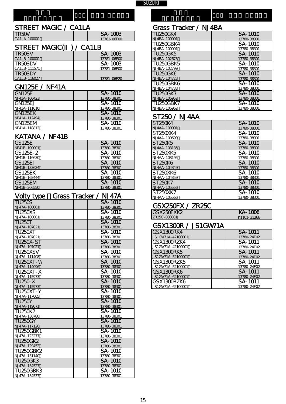機種名 機種名 フレームナンバー フレームナンバー

# STREET MAGIC / CA1LA Grass Tracker / NJ4BA

# STREET MAGIC() / CA1LB

| TR50SV         | SA-1003     | TU250GK5        | <b>SA-1010</b> |
|----------------|-------------|-----------------|----------------|
| CA1LB-100001   | 13781-06FOC | NJ 4BA - 102678 | 13780-38301    |
| <b>TR50SDV</b> | SA-1003     | TU25OGBK5       | <b>SA-1010</b> |
| CA1LB-111571   | 13781-06FOC | NJ 4BA - 102799 | 13780-38301    |
| TR5OSDY        |             | TU250GK6        | <b>SA-1010</b> |
| CA1LB-116027   | 13781-06F20 | NJ 4BA-104723   | 13780-38301    |

# GN125E / NF41A

| GN <sub>125E</sub> | SA-1010        | <b>TU250GK7</b> | <b>SA-1010</b> |
|--------------------|----------------|-----------------|----------------|
| NF41A-100423       | 13780-38301    | NJ 4BA-106952   | 13780-38301    |
| IGN125EJ           | <b>SA-1010</b> | TU250GBK7       | <b>SA-1010</b> |
| NF41A-111010       | 13780-38301    | NJ 4BA-106962   | 13780-38301    |
| IGN125EK           | <b>SA-1010</b> |                 |                |
| NF41A-112494       | 13780-38301    | ST250 / NJ4AA   |                |
| IGN125EM           | SA-1010        | <b>ST250K4</b>  | <b>SA-1010</b> |
| NF41A-118812       | 13780-38301    | NJ 4AA-100001   | 13780-38301    |

# KATANA / NF41B

| <b>GS125E</b> | <b>SA-1010</b> | ST250K5                          | <b>SA-1010</b> |
|---------------|----------------|----------------------------------|----------------|
| NF41B-100001  | 13780-38301    | NJ 4AA-103185                    | 13780-38301    |
| GS125E-2      | SA-1010        | ST250XK5                         | <b>SA-1010</b> |
| NF41B-116630  | 13780-38301    | NJ 4AA-103195                    | 13780-38301    |
| GS125EJ       | <b>SA-1010</b> | ST <sub>250</sub> K <sub>6</sub> | <b>SA-1010</b> |
| NF41B-133624  | 13780-38301    | NJ 4AA-104349                    | 13780-38301    |
| GS125EK       | SA-1010        | ST250XK6                         | <b>SA-1010</b> |
| NF41B-168444  | 13780-38301    | NJ 4AA-104359                    | 13780-38301    |
| GS125EN       | <b>SA-1010</b> | <b>ST250K7</b>                   | <b>SA-1010</b> |
| NF41B-206550  | 13780-38301    | NJ 4AA-105556                    | 13780-38301    |

| Volty type       | Grass Tracker / NJ 47A | 3125UAN/<br>NJ 4AA-105566 | <b>JA-TUIL</b><br>13780-38301 |
|------------------|------------------------|---------------------------|-------------------------------|
| <b>TU250S</b>    | <b>SA-1010</b>         |                           |                               |
| NJ 47A - 100001  | 13780-38301            | GSX250FX / ZR25C          |                               |
| <b>TU250XS</b>   | SA-1010                | GSX250FXK2                | <b>KA-1006</b>                |
| NJ 47A - 100001  | 13780-38301            | ZR25C-000001              | K1101-31266                   |
| <b>TU250T</b>    | <b>SA-1010</b>         |                           |                               |
| NJ 47A-107021    | 13780-38301            | GSX1300R / JS1GW71A       |                               |
| <b>TU250XT</b>   | <b>SA-1010</b>         | GSX1300RK4                | SA-1011                       |
| NJ 47A - 107021  | 13780-38301            | JS1GW71A-42100001         | 13780-24F02                   |
| <b>TU250X-ST</b> | <b>SA-1010</b>         | GSX1300RZK4               | $SA - \overline{1011}$        |
| NJ 47A-107021    | 13780-38301            | JS1GW71A-42100001         | 13780-24F02                   |
| TU250XSV         | <b>SA-1010</b>         | GSX1300RK5                | SA-1011                       |
| NJ 47A-111408    | 13780-38301            | JS1GW71A-52100001         | 13780-24F02                   |
| TU250XT-W        | <b>SA-1010</b>         | GSX1300RZK5               | $SA-1011$                     |
| NJ 47A-114096    | 13780-38301            | JS1GW71A-52100001         | 13780-24F02                   |
| <b>TU250XT-X</b> | SA-1010                | GSX1300RK6                | SA-1011                       |
| NJ 47A-115973    | 13780-38301            | JS1GW71A-62100001         | 13780-24F02                   |
| <b>TU250-X</b>   | <b>SA-1010</b>         | GSX1300RZK6               | SA-1011                       |
| NJ 47A-115973    | 13780-38301            | JS1GW71A-62100001         | 13780-24F02                   |
| <b>TU250XT-Y</b> | SA-1010                |                           |                               |
| NJ 47A-117005    | 13780-38301            |                           |                               |
| <b>TU250Y</b>    | SA-1010                |                           |                               |
| NJ 47A-119071    | 13780-38301            |                           |                               |
| <b>TU250K2</b>   | SA-1010                |                           |                               |
| NJ 47A - 130780  | 13780-38301            |                           |                               |
| <b>TU250GY</b>   | <b>SA-1010</b>         |                           |                               |
| NJ 47A-117126    | 13780-38301            |                           |                               |
| <b>TU250GBK1</b> | SA-1010                |                           |                               |
| NJ 47A - 123277  | 13780-38301            |                           |                               |
| <b>TU250GK2</b>  | <b>SA-1010</b>         |                           |                               |
| NJ 47A-129452    | 13780-38301            |                           |                               |
| <b>TU250GBK2</b> | SA-1010                |                           |                               |
| NJ 47A - 131140  | 13780-38301            |                           |                               |
| <b>TU250GK3</b>  | <b>SA-1010</b>         |                           |                               |
| NJ 47A-134527    | 13780-38301            |                           |                               |
| <b>TU250GBK3</b> | SA-1010                |                           |                               |
| NJ 47A-134537    | 13780-38301            |                           |                               |

タイプ エアー エレメント タイプ エアー エレメント

| 0.000.000       | ------ |                                | 01999 11998917 199191 |                |
|-----------------|--------|--------------------------------|-----------------------|----------------|
| <b>TR50V</b>    |        | SA-1003                        | <b>TU250GK4</b>       | SA-1010        |
| CA1LA-100001    |        | 13781-06FOC                    | NJ 4BA-100001         | 13780-38301    |
|                 |        |                                | TU250GBK4             | SA-1010        |
| STREET MAGIC(   |        | CA <sub>1</sub> L <sub>B</sub> | NJ 4BA-100001         | 13780-38301    |
| <b>TR50SV</b>   |        | SA-1003                        | TU250GK5              | SA-1010        |
| CA1LB-100001    |        | 13781-06FOC                    | NJ 4BA-102678         | 13780-38301    |
| TR5OSDV         |        | SA-1003                        | <b>TU250GBK5</b>      | SA-1010        |
| CA1LB-111571    |        | 13781-06FOC                    | NJ 4BA-102799         | 13780-38301    |
| TR50SDY         |        |                                | TU250GK6              | <b>SA-1010</b> |
| CA1LB-116027    |        | 13781-06F20                    | NJ 4BA-104723         | 13780-38301    |
|                 |        |                                | TU250GBK6             | SA-1010        |
| GN125E / NF41A  |        |                                | NJ 4BA-104733         | 13780-38301    |
| GN125E          |        | SA-1010                        | TU250GK7              | <b>SA-1010</b> |
| NF41A-100423    |        | 13780-38301                    | NJ 4BA-106952         | 13780-38301    |
| GN125EJ         |        | <b>SA-1010</b>                 | TU25OGBK7             | SA-1010        |
| NF 41A - 111010 |        | 13780-38301                    | NJ 4BA-106962         | 13780-38301    |
|                 |        |                                |                       |                |

# ST250 / NJ4AA

| ST250K4       | SA-1010     |
|---------------|-------------|
| NJ 4AA-100001 | 13780-38301 |
| ST250XK4      | SA-1010     |
| NJ 4AA-100690 | 13780-38301 |
| ST 250K5      | SA-1010     |
| NJ 4AA-103185 | 13780-38301 |
| ST 250XK5     | SA-1010     |
| NJ 4AA-103195 | 13780-38301 |
| ST250K6       | SA-1010     |
| NJ 4AA-104349 | 13780-38301 |
| ST250XK6      | SA-1010     |
| NJ 4AA-104359 | 13780-38301 |
| ST 250K 7     | SA-1010     |
| NJ 4AA-105556 | 13780-38301 |
| ST250XK7      | SA-1010     |
| NJ 4AA-105566 | 13780-38301 |

# GSX250FX / ZR25C

| GSX250FXK2    | KA-10       |
|---------------|-------------|
| 7 R 25C - MMN | $K1101 - 3$ |

#### GSX1300R / JS1GW71A

| GSX1300RK4        | SA-1011     |
|-------------------|-------------|
| JS1GW71A-42100001 | 13780-24F02 |
| GSX1300RZK4       | SA-1011     |
| JS1GW71A-42100001 | 13780-24F02 |
| GSX1300RK5        | SA-1011     |
| JS1GW71A-52100001 | 13780-24F02 |
| GSX1300RZK5       | SA-1011     |
| JS1GW71A-52100001 | 13780-24F02 |
| GSX1300RK6        | SA-1011     |
| JS1GW71A-62100001 | 13780-24F02 |
| GSX1300RZK6       | SA-1011     |
| JS1GW71A-62100001 | 13780-24F02 |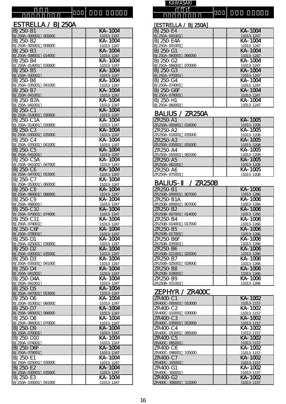#### 機 種 名 フ レ ー ム ナ ン バ ー

# ESTRELLA / BJ 250A

| <b>BJ 250-B1</b>                        | KA-1004               |
|-----------------------------------------|-----------------------|
| BJ 250A - 000001<br>005000              | 11013-1247            |
| BJ 250-B2                               | KA-1004               |
| BJ 250A - 005001<br>008000              | 11013-1247            |
| BJ 250-B3                               | KA-1004               |
| BJ 250A-008001 014000                   | 11013-1247            |
| <b>BJ 250-B4</b>                        | KA-1004               |
| BJ 250A - 014001<br>030000              | 11013-1247            |
| <b>BJ 250-B5</b>                        | KA-1004               |
| BJ 250A - 030001                        | 11013-1247            |
| <b>BJ 250-B6</b>                        | KA-1004               |
| BJ 250A-035001<br>041000                | 11013-1247            |
| BJ 250-B7                               | KA-1004               |
| BJ 250A - 041001                        | 11013-1247            |
| <b>BJ 250-B7A</b>                       | KA-1004               |
| BJ 250A - 041001                        | 11013-1247            |
| BJ 250-C1                               | KA-1004               |
| BJ 250A - 014001<br>030000              | 11013-1247            |
| BJ 250-C1A                              | KA-1004               |
| BJ 250A - 014001<br>030000              | 11013-1247            |
| BJ 250-C3                               | KA-1004               |
| BJ 250A - 030001<br>035000              | 11013-1247            |
| BJ 250-C4                               | <b>KA-1004</b>        |
| BJ 250A - 035001<br>041000              | 11013-1247            |
| <b>BJ 250-C5</b>                        | KA-1004               |
| BJ 250A-041001                          | 11013-1247            |
| <b>BJ 250-C5A</b>                       | KA-1004               |
| BJ 250A - 041001<br>047000              | 11013-1247            |
| <b>BJ 250-C6</b>                        | KA-1004               |
| BJ 250A-047001<br>053000                | 11013-1247            |
| BJ 250-C7                               | KA-1004               |
| BJ 250A-053001<br>060000                | 11013-1247            |
| <b>BJ 250-C8</b>                        | KA-1004               |
| BJ 250A-060001 066000                   | 11013-1247            |
| BJ 250-C9                               | KA-1004               |
| BJ 250A-066001                          | 11013-1247<br>KA-1004 |
| <b>BJ 250-C10</b>                       |                       |
| BJ 250A-070001<br>074000<br>BJ 250-C11  | 11013-1247<br>KA-1004 |
| BJ 250A - 074001                        | 11013-1247            |
| <b>BJ 250-C6F</b>                       | KA-1004               |
| BJ 250A-078001                          | 11013-1247            |
| <b>BJ 250-D1</b>                        | KA-1004               |
| BJ 250A - 025001<br>030000              | 11013-1247            |
| <b>BJ 250-D2</b>                        | KA-1004               |
| BJ 250A-030001<br>035000                | 11013-1247            |
| BJ 250-D3                               | KA-1004               |
| BJ 250A - 035001<br>041000              | 11013-1247            |
| <b>BJ 250-D4</b>                        | KA-1004               |
| BJ 250A - 041001                        | 11013-1247            |
| <b>BJ 250-D4A</b>                       | KA-1004               |
| BJ 250A-041001                          | 11013-1247            |
| BJ 250-D5                               | KA-1004               |
| BJ 250A - 047001<br>053000              | 11013-1247            |
| BJ 250-D6                               | KA-1004               |
| BJ 250A-053001<br>060000                | 11013-1247            |
| BJ 250-D7                               | KA-1004               |
| BJ 250A-060001<br>066000                | 11013-1247            |
| BJ 250-D8                               | KA-1004               |
| BJ 250A-066001<br>070000                | 11013-1247            |
| <b>BJ 250-D9</b>                        | KA-1004               |
| BJ 250A - 070001                        | 11013-1247            |
| BJ 250-D1C                              | KA-1004               |
| BJ 250A - 074001                        | 11013-1247            |
| <b>BJ 250-D6F</b>                       | KA-1004               |
| BJ 250A-078001                          | 11013-1247            |
| BJ 250-E1                               | KA-1004               |
| BJ 250A-025001 030000                   | 11013-1247<br>KA-1004 |
| BJ 250-E2<br>BJ 250A - 030001<br>035000 |                       |
| BJ 250-E3                               | 11013-1247<br>KA-1004 |
| BJ 250A - 035001<br>041000              | 11013-1247            |
|                                         |                       |

#### 機 種 名 **KAWASAKI**

#### **BJ 250-E4** K A - 1 004 BJ 25CA - 041001 11013-1247 **BJ 250-E4A** K A - 1 004 BJ 25CA - 041001 11013-1247 **BJ 250-G1** K A - 1 004 BJ 25CA-060001 066000 11013-1247 BJ 250-G2 K A - 1 004 BJ 25CA - 066001 070000 11013-1247 **BJ 250-G3** K A - 1 004 BJ 25CA - 070001 11013-1247 **BJ 250-G4** K A - 1 004 BJ 25CA - 074001 11013-1247 K A - 1 004 [ESTRELLA / BJ 250A]

11013-1247

K A - 1 004

11013-1247

# BALIUS / ZR250A

**BJ 250-G6F** 

BJ 25CA - 078001

BJ 25CA - 060001

**BJ 250-H1** 

| ZR <sub>250</sub> -A <sub>1</sub> | KA-1005    |
|-----------------------------------|------------|
| ZR250A-000001<br>016000           | 11013-1208 |
| ZR250-A2                          | KA-1005    |
| ZR25CA-016001<br>035000           | 11013-1208 |
| ZR250-A3                          | KA-1005    |
| ZR250A-035001<br>055000           | 11013-1208 |
| ZR250-A4                          | KA-1005    |
| ZR250A-055001<br>062000           | 11013-1208 |
| ZR250-A5                          | KA-1005    |
| ZR250A-062001                     | 11013-1208 |
| ZR250-A6                          | KA-1005    |
| ZR250A-075001                     | 11013-1208 |

#### BALIUS-/ Z R 2 50B

| 7R250-B1                | KA-1006    |
|-------------------------|------------|
| 007000<br>ZR250B-000001 | 11013-1266 |
| 7R250-B1A               | KA-1006    |
| ZR25CB-000001<br>007000 | 11013-1266 |
| 7R250-B2                | KA-1006    |
| ZR250B-007001<br>014000 | 11013-1266 |
| 7R 250- B 4             | KA-1006    |
| ZR25CB-014001<br>017000 | 11013-1266 |
| 7R250-B5                | KA-1006    |
| ZR25CB-017001           | 11013-1266 |
| 7R250-B6F               | KA-1006    |
| ZR250B-035001           | 11013-1266 |
| 7R250-B6                | KA-1006    |
| ZR250B-021001<br>025000 | 11013-1266 |
| 7R 250- B 7             | KA-1006    |
| 028000<br>ZR250B-025001 | 11013-1266 |
| 7R 250-B8               | KA-1006    |
| ZR250B-028001           | 11013-1266 |
| 7R250-B9                | KA-1006    |
| ZR250B-031001           | 11013-1266 |

# ZEPHYR / ZR400C

| 7R400-C1                | KA-1002    |
|-------------------------|------------|
| ZR400C-000001<br>010000 | 11013-1157 |
| 7R400-C2                | KA-1002    |
| ZR400C-010001<br>030000 | 11013-1157 |
| 7R400-C3                | KA-1002    |
| ZR400C-030001<br>053000 | 11013-1157 |
| 7R400-C4                | KA-1002    |
| ZR400C-053001<br>085000 | 11013-1157 |
| 7R400-C5                | KA-1002    |
| ZR400C-085001           | 11013-1157 |
| 7R400-C6                | KA-1002    |
| ZR400C-098001<br>105000 | 11013-1157 |
| 7R400-C7                | KA-1002    |
| ZR400C-105001           | 11013-1157 |
| 7R400-G1                | KA-1002    |
| ZR400C-300001           | 11013-1157 |
| 7R400-G2                | KA-1002    |
| ZR400C-308001<br>315000 | 11013-1157 |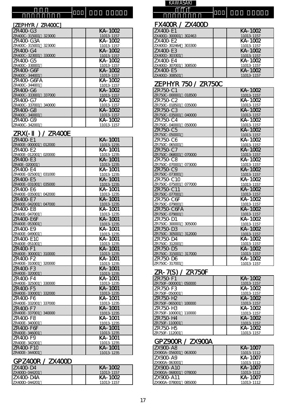#### 機 種 名

#### [ZEPHYR / ZR400C]

| ZR400-G3                | KA-1002    |
|-------------------------|------------|
| ZR40CC-315001<br>323000 | 11013-1157 |
| 7R400-G3A               | KA-1002    |
| ZR40CC-315001<br>323000 | 11013-1157 |
| ZR400-G4                | KA-1002    |
| ZR40CC-323001<br>330000 | 11013-1157 |
| ZR400-G5                | KA-1002    |
| ZR40CC-330001           | 11013-1157 |
| 7R400-G6F               | KA-1002    |
| ZR40CC-344001           | 11013-1157 |
| ZR400-G6FA              | KA-1002    |
| ZR40CC-344001           | 11013-1157 |
| ZR400-G6                | KA-1002    |
| ZR40CC-333001<br>337000 | 11013-1157 |
| 7R400-G7                | KA-1002    |
| ZR40CC-337001<br>340000 | 11013-1157 |
| 7R400-G8                | KA-1002    |
| ZR40CC-340001           | 11013-1157 |
| ZR400-G9                | KA-1002    |
| ZR40CC-342001           | 11013-1157 |

#### ZRX(- ) / ZR400E

| ZR400-E1                            | <b>KA-1001</b>          |
|-------------------------------------|-------------------------|
| ZR40CE-000001 012000                | 11013-1235              |
| ZR400-E2                            | $\overline{KA-1}$ 001   |
| ZR40CE-012001<br>020000             | 11013-1235              |
| ZR400-E3                            | KA-1001                 |
| ZR40E-020001                        | 11013-1235              |
| ZR400-E4                            | KA-1001                 |
| ZR40CE-025001<br>031000             | 11013-1235              |
| ZR400-E5                            | KA-1001                 |
| ZR40CE-031001<br>035000             | 11013-1235              |
| ZR400-E6                            | $\overline{KA}$ -1001   |
| ZR40CE-035001<br>042000             | 11013-1235              |
| ZR400-E7                            | KA-1001                 |
| ZR40CE-042001<br>047000             | 11013-1235              |
| ZR400-E8                            | KA-1001                 |
| ZR40CE-047001                       | 11013-1235              |
| ZR400-E6F                           | KA-1001                 |
| ZR40CE-053001                       | 11013-1235              |
| ZR400-E9                            | KA-1001                 |
| ZR40CE-049001                       | 11013-1235              |
| ZR400-E1C                           | KA-1001                 |
| ZR40CE-051001                       | 11013-1235<br>$KA-1001$ |
| ZR400-F1<br>ZR40CE-300001<br>310000 | 11013-1235              |
| ZR400-F2                            | KA-1001                 |
| ZR40CE-310001<br>320000             | 11013-1235              |
| ZR400-F3                            | KA-1001                 |
| ZR40CE-320001                       | 11013-1235              |
| ZR400-F4                            | KA-1001                 |
| ZR40CE-325001<br>330000             | 11013-1235              |
| ZR400-F5                            | KA-1001                 |
| ZR40CE-330001<br>332000             | 11013-1235              |
| ZR400-F6                            | KA-1001                 |
| ZR40CE - 332001<br>337000           | 11013-1235              |
| ZR400-F7                            | KA-1001                 |
| ZR40CE-337001<br>340000             | 11013-1235              |
| ZR400-F8                            | KA-1001                 |
| ZR40CE-340001                       | 11013-1235              |
| ZR400-F6F                           | KA-1001                 |
| ZR40CE-346001                       | 11013-1235              |
| ZR400-F9                            | KA-1001                 |
| ZR40CE - 342001                     | 11013-1235              |
| <b>ZR400-F1C</b>                    | KA-1001                 |
| ZR400E-344001                       | 11013-1235              |

#### GPZ 400R / ZX 400D

| IZX400-D4     | KA-1002    |
|---------------|------------|
| ZX400D-044201 | 11013-1157 |
| IZX400-D4A    | KA-1002    |
| ZX400D-044201 | 11013-1157 |

種 **KAWASAKI** 

名

機

# FX400R / ZX400D

| ZX400-E1                | KA-1002    |
|-------------------------|------------|
| ZX40CD-300001<br>302463 | 11013-1157 |
| ZX400-E2                | KA-1002    |
| ZX40CD-302464 303300    | 11013-1157 |
| ZX400-E3                | KA-1002    |
| ZX40CD-303301           | 11013-1157 |
| ZX400-E4                | KA-1002    |
| ZX40CD-307001 308500    | 11013-1157 |
| ZX400-E5                | KA-1002    |
| ZX40CD-308501           | 11013-1157 |

# ZEPHYR 750 / ZR750C

| ZR750-C1                | KA-1002    |
|-------------------------|------------|
| ZR750C-000001<br>018500 | 11013-1157 |
| ZR750-C2                | KA-1002    |
| ZR750C-018501<br>035000 | 11013-1157 |
| ZR750-C3                | KA-1002    |
| ZR750C-035001<br>040000 | 11013-1157 |
| ZR750-C4                | KA-1002    |
| ZR750C-040001<br>050000 | 11013-1157 |
| ZR750-C5                | KA-1002    |
| ZR750C-050001           | 11013-1157 |
| ZR750-C6                | KA-1002    |
| ZR750C-065001           | 11013-1157 |
| ZR750-C7                | KA-1002    |
| ZR750C-068001 070000    | 11013-1157 |
| ZR750-C8                | KA-1002    |
| ZR750C-070001<br>073000 | 11013-1157 |
| ZR750-C9                | KA-1002    |
| ZR750C-073001           | 11013-1157 |
| ZR750-C1C               | KA-1002    |
| ZR750C-075001<br>077000 | 11013-1157 |
| ZR750-C11               | KA-1002    |
| ZR750C-077001           | 11013-1157 |
| 7R750-C6F               | KA-1002    |
| ZR750C-079001           | 11013-1157 |
| 7R750-C6FA              | KA-1002    |
| ZR750C-079001           | 11013-1157 |
| ZR750-D1                | KA-1002    |
| ZR750C-300001<br>305000 | 11013-1157 |
| ZR750-D3                | KA-1002    |
| ZR750C-305001<br>312000 | 11013-1157 |
| ZR750-D4                | KA-1002    |
| ZR750C-312001           | 11013-1157 |
| ZR750-D5                | KA-1002    |
| ZR750C-315001<br>317000 | 11013-1157 |
| ZR750-D6                | KA-1002    |
| ZR750C-317001           | 11013-1157 |

#### ZR-7(S) / ZR75OF

| ZR750-F1                | KA-1002    |
|-------------------------|------------|
| ZR750F-000001<br>050000 | 11013-1157 |
| ZR750-F3                | KA-1002    |
| ZR75CF-050001           | 11013-1157 |
| ZR750-H <sub>2</sub>    | KA-1002    |
| ZR750F-065001<br>100000 | 11013-1157 |
| 7R750-H3                | KA-1002    |
| ZR75CF-100001<br>110000 | 11013-1157 |
| 7R750-H4                | KA-1002    |
| ZR75CF-110001           | 11013-1157 |
| 7R750-H5                | KA-1002    |
| ZR75CF-112001           | 11013-1157 |

### GPZ900R / ZX900A

| 17 X 900-A 8         | KA-1007    |
|----------------------|------------|
| ZX90CA-056001 063000 | 11013-1112 |
| <b>ZX900-A9</b>      | KA-1007    |
| ZX90CA-063001        | 11013-1112 |
| <b>ZX900-A1C</b>     | KA-1007    |
| ZX90CA-068001 078000 | 11013-1112 |
| <b>ZX900-A11</b>     | KA-1007    |
| ZX90CA-078001 085000 | 11013-1112 |